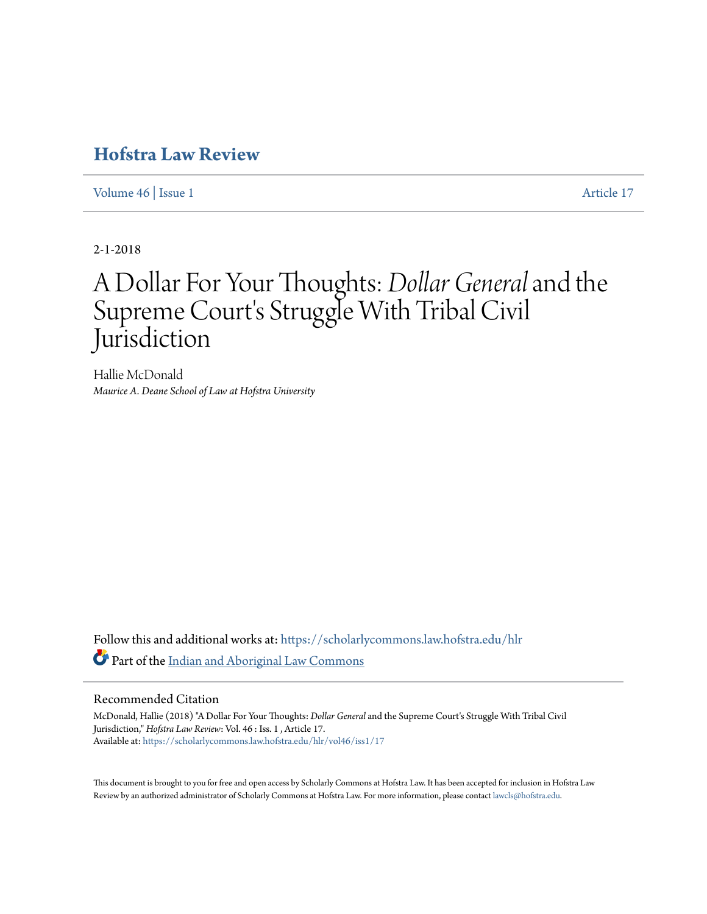## **[Hofstra Law Review](https://scholarlycommons.law.hofstra.edu/hlr?utm_source=scholarlycommons.law.hofstra.edu%2Fhlr%2Fvol46%2Fiss1%2F17&utm_medium=PDF&utm_campaign=PDFCoverPages)**

[Volume 46](https://scholarlycommons.law.hofstra.edu/hlr/vol46?utm_source=scholarlycommons.law.hofstra.edu%2Fhlr%2Fvol46%2Fiss1%2F17&utm_medium=PDF&utm_campaign=PDFCoverPages) | [Issue 1](https://scholarlycommons.law.hofstra.edu/hlr/vol46/iss1?utm_source=scholarlycommons.law.hofstra.edu%2Fhlr%2Fvol46%2Fiss1%2F17&utm_medium=PDF&utm_campaign=PDFCoverPages) [Article 17](https://scholarlycommons.law.hofstra.edu/hlr/vol46/iss1/17?utm_source=scholarlycommons.law.hofstra.edu%2Fhlr%2Fvol46%2Fiss1%2F17&utm_medium=PDF&utm_campaign=PDFCoverPages)

2-1-2018

# A Dollar For Your Thoughts: *Dollar General*and the Supreme Court's Struggle With Tribal Civil Jurisdiction

Hallie McDonald *Maurice A. Deane School of Law at Hofstra University*

Follow this and additional works at: [https://scholarlycommons.law.hofstra.edu/hlr](https://scholarlycommons.law.hofstra.edu/hlr?utm_source=scholarlycommons.law.hofstra.edu%2Fhlr%2Fvol46%2Fiss1%2F17&utm_medium=PDF&utm_campaign=PDFCoverPages) Part of the [Indian and Aboriginal Law Commons](http://network.bepress.com/hgg/discipline/894?utm_source=scholarlycommons.law.hofstra.edu%2Fhlr%2Fvol46%2Fiss1%2F17&utm_medium=PDF&utm_campaign=PDFCoverPages)

## Recommended Citation

McDonald, Hallie (2018) "A Dollar For Your Thoughts: *Dollar General* and the Supreme Court's Struggle With Tribal Civil Jurisdiction," *Hofstra Law Review*: Vol. 46 : Iss. 1 , Article 17. Available at: [https://scholarlycommons.law.hofstra.edu/hlr/vol46/iss1/17](https://scholarlycommons.law.hofstra.edu/hlr/vol46/iss1/17?utm_source=scholarlycommons.law.hofstra.edu%2Fhlr%2Fvol46%2Fiss1%2F17&utm_medium=PDF&utm_campaign=PDFCoverPages)

This document is brought to you for free and open access by Scholarly Commons at Hofstra Law. It has been accepted for inclusion in Hofstra Law Review by an authorized administrator of Scholarly Commons at Hofstra Law. For more information, please contact [lawcls@hofstra.edu](mailto:lawcls@hofstra.edu).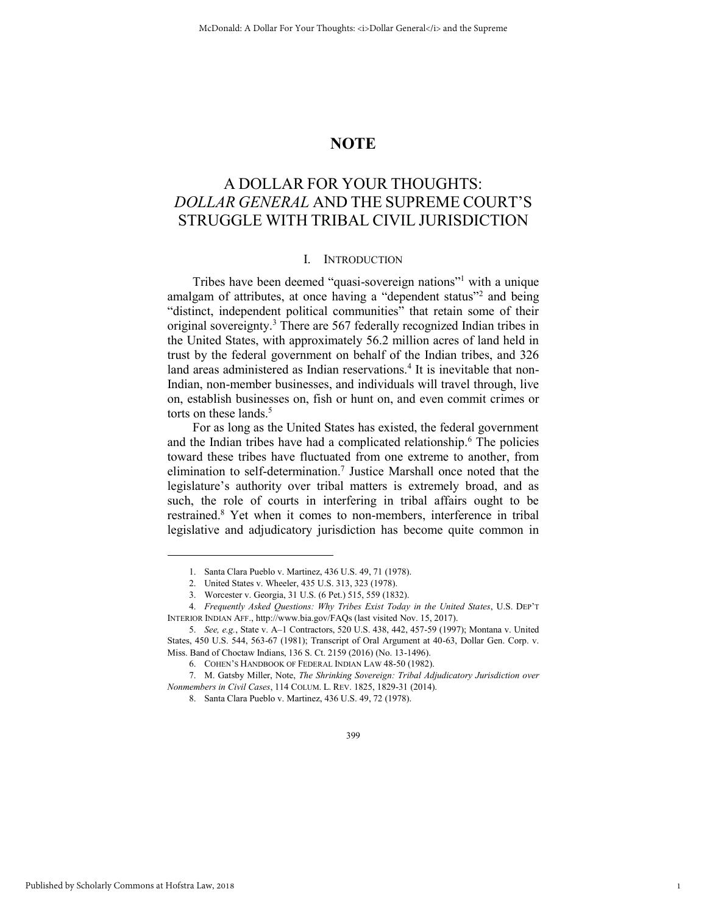## **NOTE**

## A DOLLAR FOR YOUR THOUGHTS: *DOLLAR GENERAL* AND THE SUPREME COURT'S STRUGGLE WITH TRIBAL CIVIL JURISDICTION

## <span id="page-1-1"></span>I. INTRODUCTION

Tribes have been deemed "quasi-sovereign nations"<sup>1</sup> with a unique amalgam of attributes, at once having a "dependent status"<sup>2</sup> and being "distinct, independent political communities" that retain some of their original sovereignty.<sup>3</sup> There are 567 federally recognized Indian tribes in the United States, with approximately 56.2 million acres of land held in trust by the federal government on behalf of the Indian tribes, and 326 land areas administered as Indian reservations.<sup>4</sup> It is inevitable that non-Indian, non-member businesses, and individuals will travel through, live on, establish businesses on, fish or hunt on, and even commit crimes or torts on these lands.<sup>5</sup>

<span id="page-1-2"></span><span id="page-1-0"></span>For as long as the United States has existed, the federal government and the Indian tribes have had a complicated relationship.<sup>6</sup> The policies toward these tribes have fluctuated from one extreme to another, from elimination to self-determination.<sup>7</sup> Justice Marshall once noted that the legislature's authority over tribal matters is extremely broad, and as such, the role of courts in interfering in tribal affairs ought to be restrained.<sup>8</sup> Yet when it comes to non-members, interference in tribal legislative and adjudicatory jurisdiction has become quite common in

7. M. Gatsby Miller, Note, *The Shrinking Sovereign: Tribal Adjudicatory Jurisdiction over Nonmembers in Civil Cases*, 114 COLUM. L. REV. 1825, 1829-31 (2014).

399

1

<sup>1.</sup> Santa Clara Pueblo v. Martinez, 436 U.S. 49, 71 (1978).

<sup>2.</sup> United States v. Wheeler, 435 U.S. 313, 323 (1978).

<sup>3.</sup> Worcester v. Georgia, 31 U.S. (6 Pet.) 515, 559 (1832).

<sup>4.</sup> *Frequently Asked Questions: Why Tribes Exist Today in the United States*, U.S. DEP'T INTERIOR INDIAN AFF., http://www.bia.gov/FAQs (last visited Nov. 15, 2017).

<sup>5.</sup> *See, e.g.*, State v. A–1 Contractors, 520 U.S. 438, 442, 457-59 (1997); Montana v. United States, 450 U.S. 544, 563-67 (1981); Transcript of Oral Argument at 40-63, Dollar Gen. Corp. v. Miss. Band of Choctaw Indians, 136 S. Ct. 2159 (2016) (No. 13-1496).

<sup>6.</sup> COHEN'S HANDBOOK OF FEDERAL INDIAN LAW 48-50 (1982).

<sup>8.</sup> Santa Clara Pueblo v. Martinez, 436 U.S. 49, 72 (1978).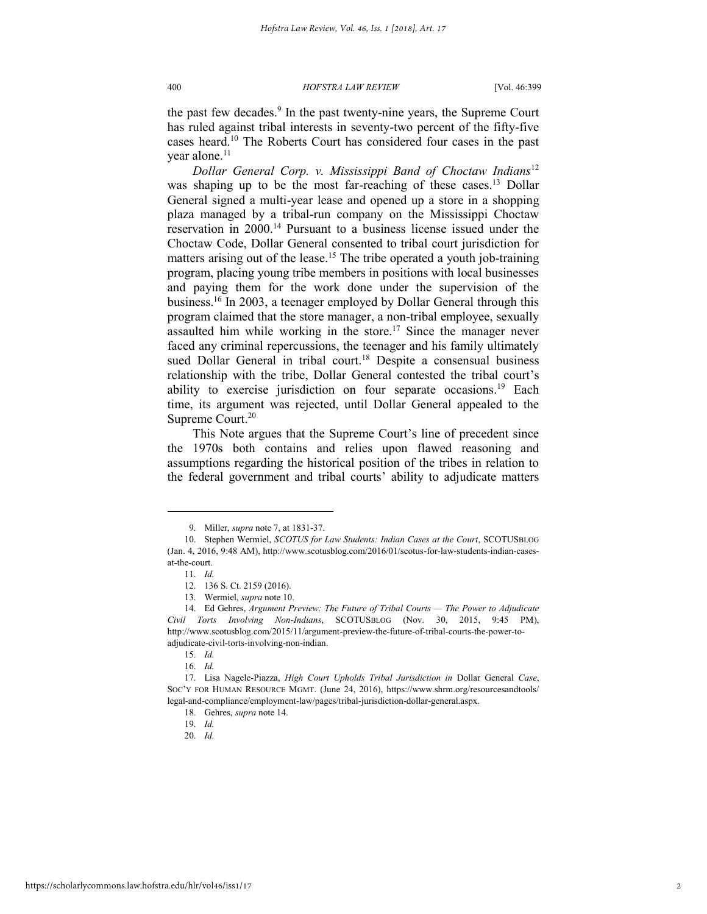the past few decades.<sup>9</sup> In the past twenty-nine years, the Supreme Court has ruled against tribal interests in seventy-two percent of the fifty-five cases heard.<sup>10</sup> The Roberts Court has considered four cases in the past year alone.<sup>11</sup>

<span id="page-2-1"></span><span id="page-2-0"></span>*Dollar General Corp. v. Mississippi Band of Choctaw Indians*<sup>12</sup> was shaping up to be the most far-reaching of these cases.<sup>13</sup> Dollar General signed a multi-year lease and opened up a store in a shopping plaza managed by a tribal-run company on the Mississippi Choctaw reservation in 2000.<sup>14</sup> Pursuant to a business license issued under the Choctaw Code, Dollar General consented to tribal court jurisdiction for matters arising out of the lease.<sup>15</sup> The tribe operated a youth job-training program, placing young tribe members in positions with local businesses and paying them for the work done under the supervision of the business.<sup>16</sup> In 2003, a teenager employed by Dollar General through this program claimed that the store manager, a non-tribal employee, sexually assaulted him while working in the store.<sup>17</sup> Since the manager never faced any criminal repercussions, the teenager and his family ultimately sued Dollar General in tribal court.<sup>18</sup> Despite a consensual business relationship with the tribe, Dollar General contested the tribal court's ability to exercise jurisdiction on four separate occasions.<sup>19</sup> Each time, its argument was rejected, until Dollar General appealed to the Supreme Court.<sup>20</sup>

<span id="page-2-2"></span>This Note argues that the Supreme Court's line of precedent since the 1970s both contains and relies upon flawed reasoning and assumptions regarding the historical position of the tribes in relation to the federal government and tribal courts' ability to adjudicate matters

<sup>9.</sup> Miller, *supra* not[e 7,](#page-1-0) at 1831-37.

<sup>10.</sup> Stephen Wermiel, *SCOTUS for Law Students: Indian Cases at the Court*, SCOTUSBLOG (Jan. 4, 2016, 9:48 AM), http://www.scotusblog.com/2016/01/scotus-for-law-students-indian-casesat-the-court.

<sup>11.</sup> *Id.*

<sup>12. 136</sup> S. Ct. 2159 (2016).

<sup>13.</sup> Wermiel, *supra* not[e 10.](#page-2-0)

<sup>14.</sup> Ed Gehres, Argument Preview: The Future of Tribal Courts - The Power to Adjudicate *Civil Torts Involving Non-Indians*, SCOTUSBLOG (Nov. 30, 2015, 9:45 PM), http://www.scotusblog.com/2015/11/argument-preview-the-future-of-tribal-courts-the-power-toadjudicate-civil-torts-involving-non-indian.

<sup>15.</sup> *Id.* 

<sup>16.</sup> *Id.*

<sup>17.</sup> Lisa Nagele-Piazza, *High Court Upholds Tribal Jurisdiction in* Dollar General *Case*, SOC'Y FOR HUMAN RESOURCE MGMT. (June 24, 2016), https://www.shrm.org/resourcesandtools/ legal-and-compliance/employment-law/pages/tribal-jurisdiction-dollar-general.aspx.

<sup>18.</sup> Gehres, *supra* not[e 14.](#page-2-1) 

<sup>19.</sup> *Id.*

<sup>20.</sup> *Id.*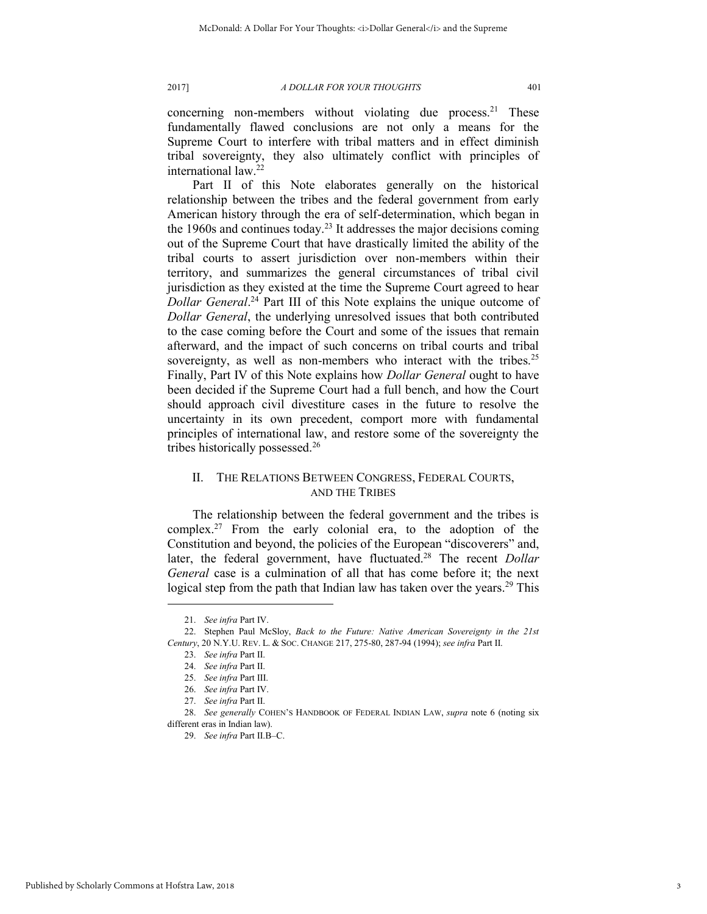concerning non-members without violating due process.<sup>21</sup> These fundamentally flawed conclusions are not only a means for the Supreme Court to interfere with tribal matters and in effect diminish tribal sovereignty, they also ultimately conflict with principles of international law.<sup>22</sup>

<span id="page-3-0"></span>Part II of this Note elaborates generally on the historical relationship between the tribes and the federal government from early American history through the era of self-determination, which began in the 1960s and continues today.<sup>23</sup> It addresses the major decisions coming out of the Supreme Court that have drastically limited the ability of the tribal courts to assert jurisdiction over non-members within their territory, and summarizes the general circumstances of tribal civil jurisdiction as they existed at the time the Supreme Court agreed to hear *Dollar General*. <sup>24</sup> Part III of this Note explains the unique outcome of *Dollar General*, the underlying unresolved issues that both contributed to the case coming before the Court and some of the issues that remain afterward, and the impact of such concerns on tribal courts and tribal sovereignty, as well as non-members who interact with the tribes.<sup>25</sup> Finally, Part IV of this Note explains how *Dollar General* ought to have been decided if the Supreme Court had a full bench, and how the Court should approach civil divestiture cases in the future to resolve the uncertainty in its own precedent, comport more with fundamental principles of international law, and restore some of the sovereignty the tribes historically possessed.<sup>26</sup>

## II. THE RELATIONS BETWEEN CONGRESS, FEDERAL COURTS, AND THE TRIBES

The relationship between the federal government and the tribes is complex.<sup>27</sup> From the early colonial era, to the adoption of the Constitution and beyond, the policies of the European "discoverers" and, later, the federal government, have fluctuated.<sup>28</sup> The recent *Dollar General* case is a culmination of all that has come before it; the next logical step from the path that Indian law has taken over the years.<sup>29</sup> This

<sup>21.</sup> *See infra* Part IV.

<sup>22.</sup> Stephen Paul McSloy, *Back to the Future: Native American Sovereignty in the 21st Century*, 20 N.Y.U. REV. L. & SOC. CHANGE 217, 275-80, 287-94 (1994); *see infra* Part II.

<sup>23.</sup> *See infra* Part II.

<sup>24.</sup> *See infra* Part II.

<sup>25.</sup> *See infra* Part III.

<sup>26.</sup> *See infra* Part IV.

<sup>27.</sup> *See infra* Part II.

<sup>28.</sup> *See generally* COHEN'S HANDBOOK OF FEDERAL INDIAN LAW, *supra* note [6](#page-1-1) (noting six different eras in Indian law).

<sup>29.</sup> *See infra* Part II.B–C.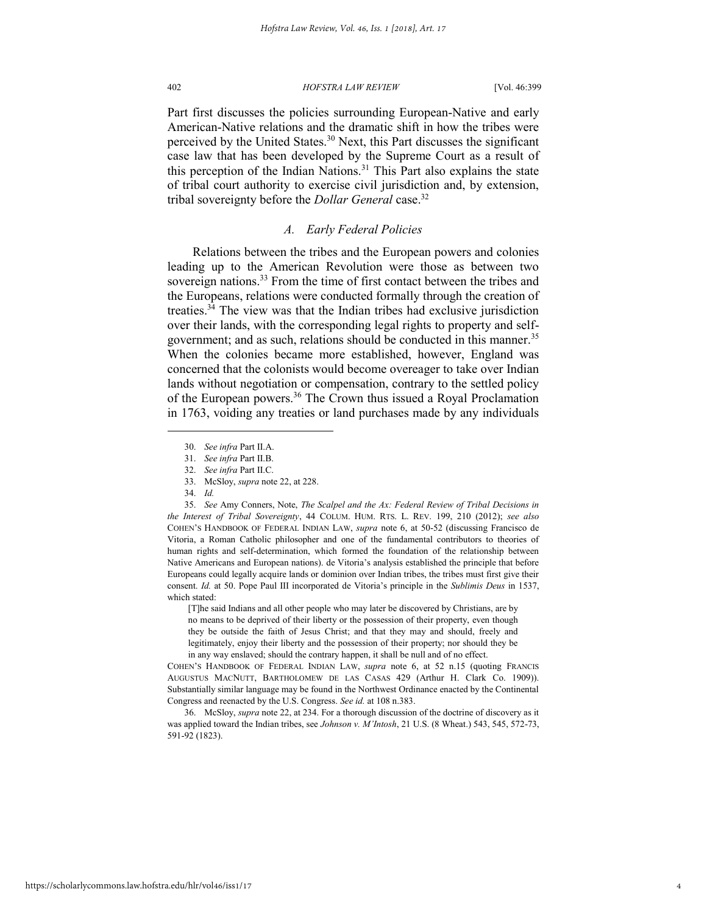<span id="page-4-0"></span>

Part first discusses the policies surrounding European-Native and early American-Native relations and the dramatic shift in how the tribes were perceived by the United States.<sup>30</sup> Next, this Part discusses the significant case law that has been developed by the Supreme Court as a result of this perception of the Indian Nations.<sup>31</sup> This Part also explains the state of tribal court authority to exercise civil jurisdiction and, by extension, tribal sovereignty before the *Dollar General* case.<sup>32</sup>

## *A. Early Federal Policies*

Relations between the tribes and the European powers and colonies leading up to the American Revolution were those as between two sovereign nations.<sup>33</sup> From the time of first contact between the tribes and the Europeans, relations were conducted formally through the creation of treaties.<sup>34</sup> The view was that the Indian tribes had exclusive jurisdiction over their lands, with the corresponding legal rights to property and selfgovernment; and as such, relations should be conducted in this manner.<sup>35</sup> When the colonies became more established, however, England was concerned that the colonists would become overeager to take over Indian lands without negotiation or compensation, contrary to the settled policy of the European powers.<sup>36</sup> The Crown thus issued a Royal Proclamation in 1763, voiding any treaties or land purchases made by any individuals

l

35. *See* Amy Conners, Note, *The Scalpel and the Ax: Federal Review of Tribal Decisions in the Interest of Tribal Sovereignty*, 44 COLUM. HUM. RTS. L. REV. 199, 210 (2012); *see also* COHEN'S HANDBOOK OF FEDERAL INDIAN LAW, *supra* note [6,](#page-1-1) at 50-52 (discussing Francisco de Vitoria, a Roman Catholic philosopher and one of the fundamental contributors to theories of human rights and self-determination, which formed the foundation of the relationship between Native Americans and European nations). de Vitoria's analysis established the principle that before Europeans could legally acquire lands or dominion over Indian tribes, the tribes must first give their consent. *Id.* at 50. Pope Paul III incorporated de Vitoria's principle in the *Sublimis Deus* in 1537, which stated:

[T]he said Indians and all other people who may later be discovered by Christians, are by no means to be deprived of their liberty or the possession of their property, even though they be outside the faith of Jesus Christ; and that they may and should, freely and legitimately, enjoy their liberty and the possession of their property; nor should they be in any way enslaved; should the contrary happen, it shall be null and of no effect.

COHEN'S HANDBOOK OF FEDERAL INDIAN LAW, *supra* note [6,](#page-1-1) at 52 n.15 (quoting FRANCIS AUGUSTUS MACNUTT, BARTHOLOMEW DE LAS CASAS 429 (Arthur H. Clark Co. 1909)). Substantially similar language may be found in the Northwest Ordinance enacted by the Continental Congress and reenacted by the U.S. Congress. *See id.* at 108 n.383.

36. McSloy, *supra* not[e 22,](#page-3-0) at 234. For a thorough discussion of the doctrine of discovery as it was applied toward the Indian tribes, see *Johnson v. M'Intosh*, 21 U.S. (8 Wheat.) 543, 545, 572-73, 591-92 (1823).

<sup>30.</sup> *See infra* Part II.A.

<sup>31.</sup> *See infra* Part II.B.

<sup>32.</sup> *See infra* Part II.C.

<sup>33.</sup> McSloy, *supra* not[e 22,](#page-3-0) at 228.

<sup>34.</sup> *Id.*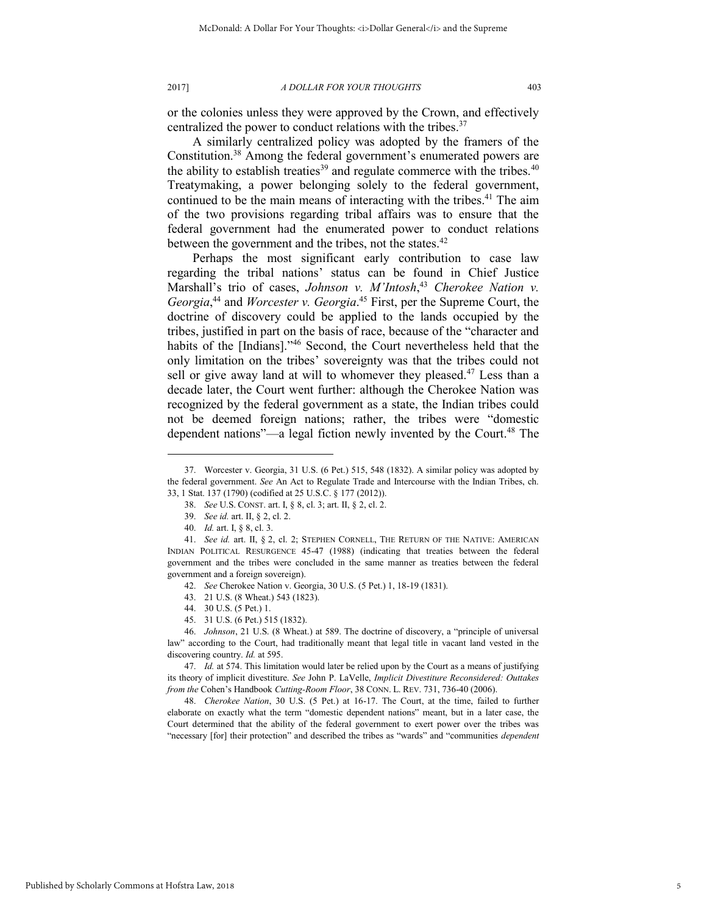or the colonies unless they were approved by the Crown, and effectively centralized the power to conduct relations with the tribes.<sup>37</sup>

A similarly centralized policy was adopted by the framers of the Constitution.<sup>38</sup> Among the federal government's enumerated powers are the ability to establish treaties<sup>39</sup> and regulate commerce with the tribes.<sup>40</sup> Treatymaking, a power belonging solely to the federal government, continued to be the main means of interacting with the tribes.<sup>41</sup> The aim of the two provisions regarding tribal affairs was to ensure that the federal government had the enumerated power to conduct relations between the government and the tribes, not the states.<sup>42</sup>

Perhaps the most significant early contribution to case law regarding the tribal nations' status can be found in Chief Justice Marshall's trio of cases, *Johnson v. M'Intosh*, <sup>43</sup> *Cherokee Nation v. Georgia*, <sup>44</sup> and *Worcester v. Georgia*. <sup>45</sup> First, per the Supreme Court, the doctrine of discovery could be applied to the lands occupied by the tribes, justified in part on the basis of race, because of the "character and habits of the [Indians]."<sup>46</sup> Second, the Court nevertheless held that the only limitation on the tribes' sovereignty was that the tribes could not sell or give away land at will to whomever they pleased.<sup>47</sup> Less than a decade later, the Court went further: although the Cherokee Nation was recognized by the federal government as a state, the Indian tribes could not be deemed foreign nations; rather, the tribes were "domestic dependent nations"—a legal fiction newly invented by the Court.<sup>48</sup> The

<span id="page-5-0"></span>l

43. 21 U.S. (8 Wheat.) 543 (1823).

45. 31 U.S. (6 Pet.) 515 (1832).

46. *Johnson*, 21 U.S. (8 Wheat.) at 589. The doctrine of discovery, a "principle of universal law" according to the Court, had traditionally meant that legal title in vacant land vested in the discovering country. *Id.* at 595.

48. *Cherokee Nation*, 30 U.S. (5 Pet.) at 16-17. The Court, at the time, failed to further elaborate on exactly what the term "domestic dependent nations" meant, but in a later case, the Court determined that the ability of the federal government to exert power over the tribes was "necessary [for] their protection" and described the tribes as "wards" and "communities *dependent*

<sup>37.</sup> Worcester v. Georgia, 31 U.S. (6 Pet.) 515, 548 (1832). A similar policy was adopted by the federal government. *See* An Act to Regulate Trade and Intercourse with the Indian Tribes, ch. 33, 1 Stat. 137 (1790) (codified at 25 U.S.C. § 177 (2012)).

<sup>38.</sup> *See* U.S. CONST. art. I, § 8, cl. 3; art. II, § 2, cl. 2.

<sup>39.</sup> *See id.* art. II, § 2, cl. 2.

<sup>40.</sup> *Id.* art. I, § 8, cl. 3.

<sup>41.</sup> *See id.* art. II, § 2, cl. 2; STEPHEN CORNELL, THE RETURN OF THE NATIVE: AMERICAN INDIAN POLITICAL RESURGENCE 45-47 (1988) (indicating that treaties between the federal government and the tribes were concluded in the same manner as treaties between the federal government and a foreign sovereign).

<sup>42.</sup> *See* Cherokee Nation v. Georgia, 30 U.S. (5 Pet.) 1, 18-19 (1831).

<sup>44. 30</sup> U.S. (5 Pet.) 1.

<sup>47.</sup> *Id.* at 574. This limitation would later be relied upon by the Court as a means of justifying its theory of implicit divestiture. *See* John P. LaVelle, *Implicit Divestiture Reconsidered: Outtakes from the* Cohen's Handbook *Cutting-Room Floor*, 38 CONN. L. REV. 731, 736-40 (2006).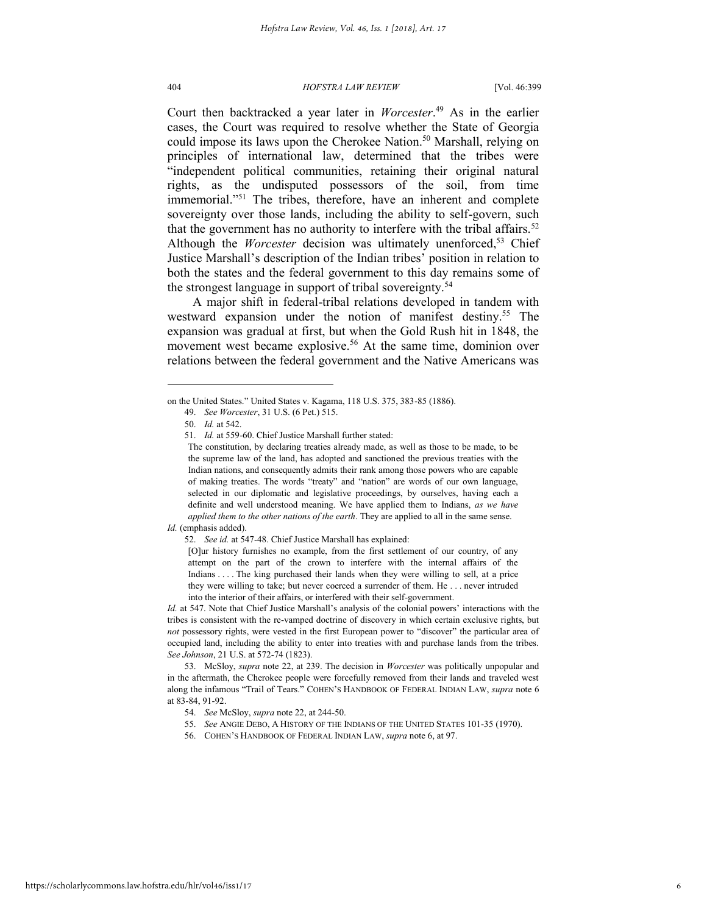Court then backtracked a year later in *Worcester*. <sup>49</sup> As in the earlier cases, the Court was required to resolve whether the State of Georgia could impose its laws upon the Cherokee Nation.<sup>50</sup> Marshall, relying on principles of international law, determined that the tribes were "independent political communities, retaining their original natural rights, as the undisputed possessors of the soil, from time immemorial."<sup>51</sup> The tribes, therefore, have an inherent and complete sovereignty over those lands, including the ability to self-govern, such that the government has no authority to interfere with the tribal affairs.<sup>52</sup> Although the *Worcester* decision was ultimately unenforced,<sup>53</sup> Chief Justice Marshall's description of the Indian tribes' position in relation to both the states and the federal government to this day remains some of the strongest language in support of tribal sovereignty.<sup>54</sup>

A major shift in federal-tribal relations developed in tandem with westward expansion under the notion of manifest destiny.<sup>55</sup> The expansion was gradual at first, but when the Gold Rush hit in 1848, the movement west became explosive.<sup>56</sup> At the same time, dominion over relations between the federal government and the Native Americans was

l

*Id.* (emphasis added).

52. *See id.* at 547-48. Chief Justice Marshall has explained:

[O]ur history furnishes no example, from the first settlement of our country, of any attempt on the part of the crown to interfere with the internal affairs of the Indians . . . . The king purchased their lands when they were willing to sell, at a price they were willing to take; but never coerced a surrender of them. He . . . never intruded into the interior of their affairs, or interfered with their self-government.

*Id.* at 547. Note that Chief Justice Marshall's analysis of the colonial powers' interactions with the tribes is consistent with the re-vamped doctrine of discovery in which certain exclusive rights, but *not* possessory rights, were vested in the first European power to "discover" the particular area of occupied land, including the ability to enter into treaties with and purchase lands from the tribes. *See Johnson*, 21 U.S. at 572-74 (1823).

53. McSloy, *supra* note [22,](#page-3-0) at 239. The decision in *Worcester* was politically unpopular and in the aftermath, the Cherokee people were forcefully removed from their lands and traveled west along the infamous "Trail of Tears." COHEN'S HANDBOOK OF FEDERAL INDIAN LAW, *supra* note [6](#page-1-1) at 83-84, 91-92.

on the United States." United States v. Kagama, 118 U.S. 375, 383-85 (1886).

<sup>49.</sup> *See Worcester*, 31 U.S. (6 Pet.) 515.

<sup>50.</sup> *Id.* at 542.

<sup>51.</sup> *Id.* at 559-60. Chief Justice Marshall further stated:

The constitution, by declaring treaties already made, as well as those to be made, to be the supreme law of the land, has adopted and sanctioned the previous treaties with the Indian nations, and consequently admits their rank among those powers who are capable of making treaties. The words "treaty" and "nation" are words of our own language, selected in our diplomatic and legislative proceedings, by ourselves, having each a definite and well understood meaning. We have applied them to Indians, *as we have applied them to the other nations of the earth*. They are applied to all in the same sense.

<sup>54.</sup> *See* McSloy, *supra* not[e 22,](#page-3-0) at 244-50.

<sup>55.</sup> *See* ANGIE DEBO, A HISTORY OF THE INDIANS OF THE UNITED STATES 101-35 (1970).

<sup>56.</sup> COHEN'S HANDBOOK OF FEDERAL INDIAN LAW, *supra* not[e 6,](#page-1-1) at 97.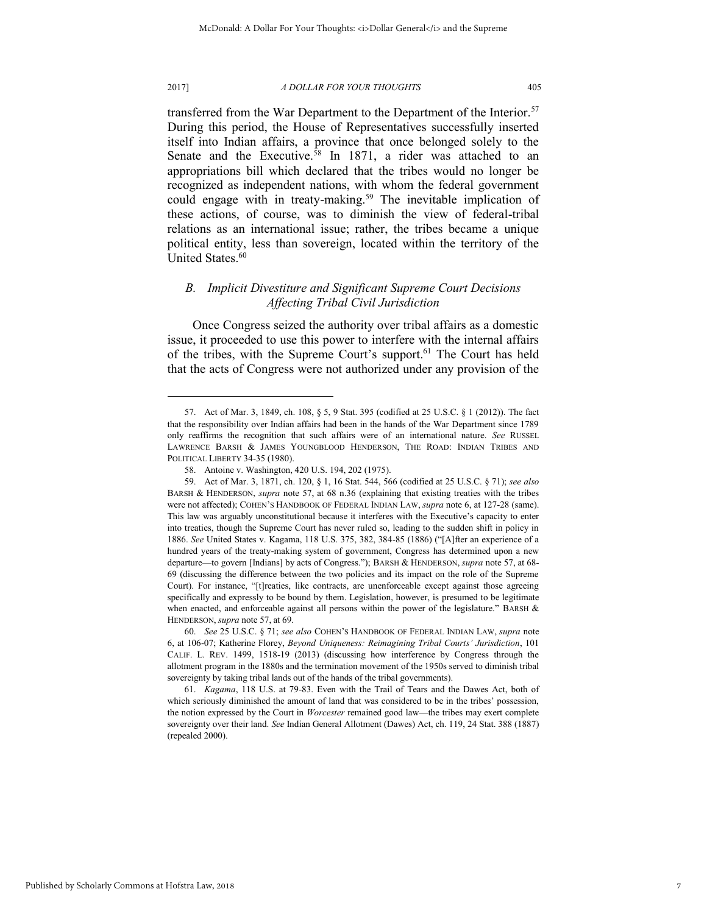#### 2017] *A DOLLAR FOR YOUR THOUGHTS* 405

<span id="page-7-0"></span>

transferred from the War Department to the Department of the Interior.<sup>57</sup> During this period, the House of Representatives successfully inserted itself into Indian affairs, a province that once belonged solely to the Senate and the Executive.<sup>58</sup> In 1871, a rider was attached to an appropriations bill which declared that the tribes would no longer be recognized as independent nations, with whom the federal government could engage with in treaty-making.<sup>59</sup> The inevitable implication of these actions, of course, was to diminish the view of federal-tribal relations as an international issue; rather, the tribes became a unique political entity, less than sovereign, located within the territory of the United States.<sup>60</sup>

## <span id="page-7-1"></span>*B. Implicit Divestiture and Significant Supreme Court Decisions Affecting Tribal Civil Jurisdiction*

Once Congress seized the authority over tribal affairs as a domestic issue, it proceeded to use this power to interfere with the internal affairs of the tribes, with the Supreme Court's support.<sup>61</sup> The Court has held that the acts of Congress were not authorized under any provision of the

60. *See* 25 U.S.C. § 71; *see also* COHEN'S HANDBOOK OF FEDERAL INDIAN LAW, *supra* note [6,](#page-1-1) at 106-07; Katherine Florey, *Beyond Uniqueness: Reimagining Tribal Courts' Jurisdiction*, 101 CALIF. L. REV. 1499, 1518-19 (2013) (discussing how interference by Congress through the allotment program in the 1880s and the termination movement of the 1950s served to diminish tribal sovereignty by taking tribal lands out of the hands of the tribal governments).

61. *Kagama*, 118 U.S. at 79-83. Even with the Trail of Tears and the Dawes Act, both of which seriously diminished the amount of land that was considered to be in the tribes' possession, the notion expressed by the Court in *Worcester* remained good law—the tribes may exert complete sovereignty over their land. *See* Indian General Allotment (Dawes) Act, ch. 119, 24 Stat. 388 (1887) (repealed 2000).

<sup>57.</sup> Act of Mar. 3, 1849, ch. 108, § 5, 9 Stat. 395 (codified at 25 U.S.C. § 1 (2012)). The fact that the responsibility over Indian affairs had been in the hands of the War Department since 1789 only reaffirms the recognition that such affairs were of an international nature. *See* RUSSEL LAWRENCE BARSH & JAMES YOUNGBLOOD HENDERSON, THE ROAD: INDIAN TRIBES AND POLITICAL LIBERTY 34-35 (1980).

<sup>58.</sup> Antoine v. Washington, 420 U.S. 194, 202 (1975).

<sup>59.</sup> Act of Mar. 3, 1871, ch. 120, § 1, 16 Stat. 544, 566 (codified at 25 U.S.C. § 71); *see also* BARSH & HENDERSON, *supra* note [57,](#page-7-0) at 68 n.36 (explaining that existing treaties with the tribes were not affected); COHEN'S HANDBOOK OF FEDERAL INDIAN LAW, *supra* not[e 6,](#page-1-1) at 127-28 (same). This law was arguably unconstitutional because it interferes with the Executive's capacity to enter into treaties, though the Supreme Court has never ruled so, leading to the sudden shift in policy in 1886. *See* United States v. Kagama, 118 U.S. 375, 382, 384-85 (1886) ("[A]fter an experience of a hundred years of the treaty-making system of government, Congress has determined upon a new departure—to govern [Indians] by acts of Congress."); BARSH & HENDERSON, *supra* not[e 57,](#page-7-0) at 68- 69 (discussing the difference between the two policies and its impact on the role of the Supreme Court). For instance, "[t]reaties, like contracts, are unenforceable except against those agreeing specifically and expressly to be bound by them. Legislation, however, is presumed to be legitimate when enacted, and enforceable against all persons within the power of the legislature." BARSH  $\&$ HENDERSON, *supra* not[e 57,](#page-7-0) at 69.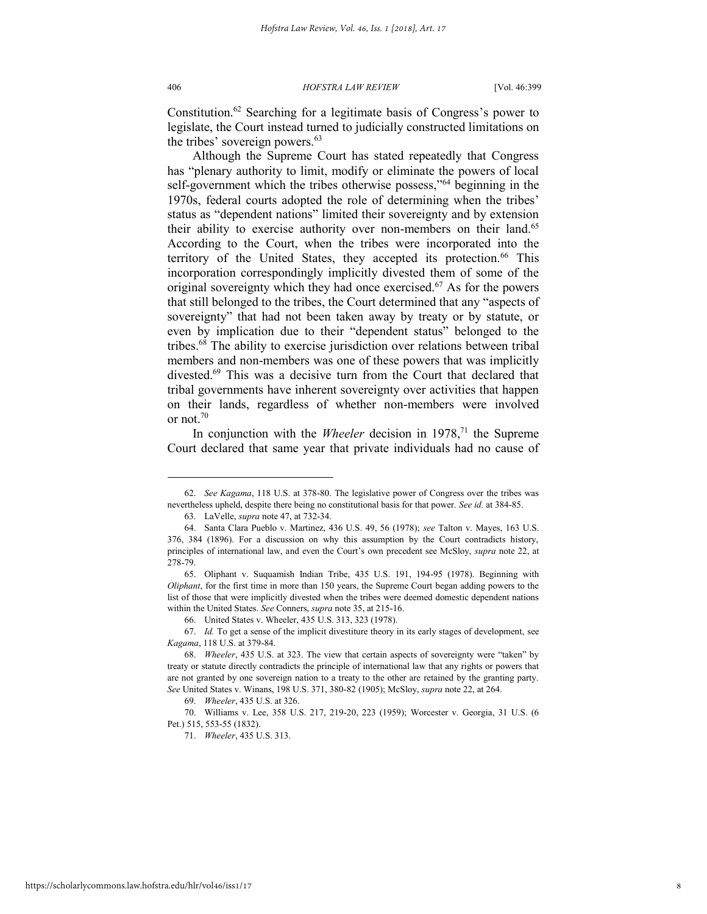#### 406 *HOFSTRA LAW REVIEW* [Vol. 46:399

Constitution.<sup>62</sup> Searching for a legitimate basis of Congress's power to legislate, the Court instead turned to judicially constructed limitations on the tribes' sovereign powers.<sup>63</sup>

Although the Supreme Court has stated repeatedly that Congress has "plenary authority to limit, modify or eliminate the powers of local self-government which the tribes otherwise possess,"<sup>64</sup> beginning in the 1970s, federal courts adopted the role of determining when the tribes' status as "dependent nations" limited their sovereignty and by extension their ability to exercise authority over non-members on their land.<sup>65</sup> According to the Court, when the tribes were incorporated into the territory of the United States, they accepted its protection.<sup>66</sup> This incorporation correspondingly implicitly divested them of some of the original sovereignty which they had once exercised.<sup>67</sup> As for the powers that still belonged to the tribes, the Court determined that any "aspects of sovereignty" that had not been taken away by treaty or by statute, or even by implication due to their "dependent status" belonged to the tribes.<sup>68</sup> The ability to exercise jurisdiction over relations between tribal members and non-members was one of these powers that was implicitly divested.<sup>69</sup> This was a decisive turn from the Court that declared that tribal governments have inherent sovereignty over activities that happen on their lands, regardless of whether non-members were involved or not.<sup>70</sup>

In conjunction with the *Wheeler* decision in 1978,<sup>71</sup> the Supreme Court declared that same year that private individuals had no cause of

<sup>62.</sup> *See Kagama*, 118 U.S. at 378-80. The legislative power of Congress over the tribes was nevertheless upheld, despite there being no constitutional basis for that power. *See id.* at 384-85.

<sup>63.</sup> LaVelle, *supra* note [47,](#page-5-0) at 732-34.

<sup>64.</sup> Santa Clara Pueblo v. Martinez, 436 U.S. 49, 56 (1978); *see* Talton v. Mayes, 163 U.S. 376, 384 (1896). For a discussion on why this assumption by the Court contradicts history, principles of international law, and even the Court's own precedent see McSloy, *supra* not[e 22,](#page-3-0) at 278-79.

<sup>65.</sup> Oliphant v. Suquamish Indian Tribe, 435 U.S. 191, 194-95 (1978). Beginning with *Oliphant*, for the first time in more than 150 years, the Supreme Court began adding powers to the list of those that were implicitly divested when the tribes were deemed domestic dependent nations within the United States. *See* Conners, *supra* note [35,](#page-4-0) at 215-16.

<sup>66.</sup> United States v. Wheeler, 435 U.S. 313, 323 (1978).

<sup>67.</sup> *Id.* To get a sense of the implicit divestiture theory in its early stages of development, see *Kagama*, 118 U.S. at 379-84.

<sup>68.</sup> *Wheeler*, 435 U.S. at 323. The view that certain aspects of sovereignty were "taken" by treaty or statute directly contradicts the principle of international law that any rights or powers that are not granted by one sovereign nation to a treaty to the other are retained by the granting party. *See* United States v. Winans, 198 U.S. 371, 380-82 (1905); McSloy, *supra* not[e 22,](#page-3-0) at 264.

<sup>69.</sup> *Wheeler*, 435 U.S. at 326.

<sup>70.</sup> Williams v. Lee, 358 U.S. 217, 219-20, 223 (1959); Worcester v. Georgia, 31 U.S. (6 Pet.) 515, 553-55 (1832).

<sup>71.</sup> *Wheeler*, 435 U.S. 313.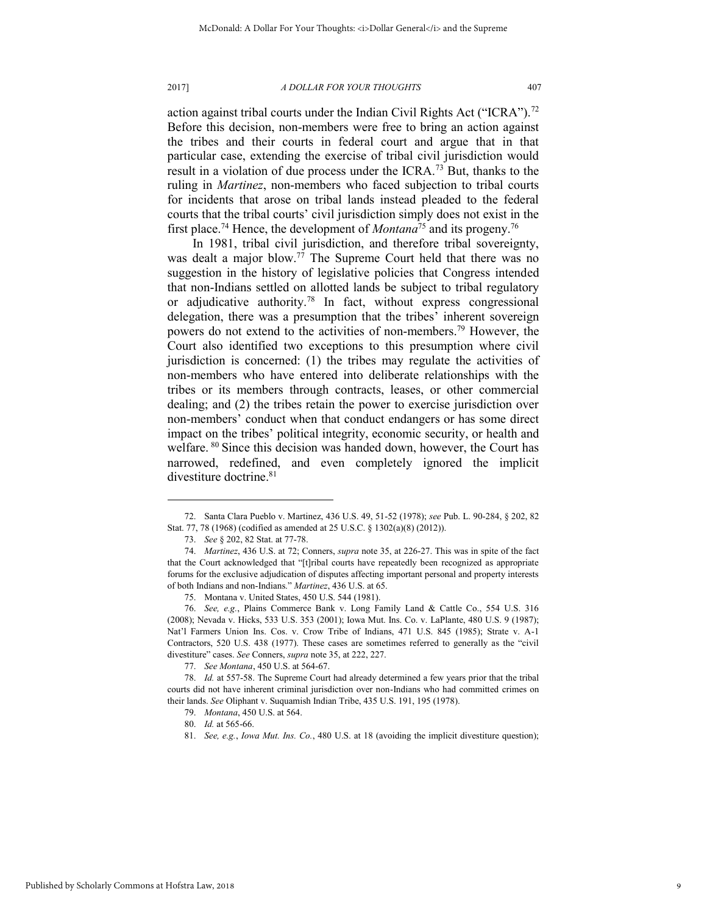action against tribal courts under the Indian Civil Rights Act ("ICRA").<sup>72</sup> Before this decision, non-members were free to bring an action against the tribes and their courts in federal court and argue that in that particular case, extending the exercise of tribal civil jurisdiction would result in a violation of due process under the ICRA.<sup>73</sup> But, thanks to the ruling in *Martinez*, non-members who faced subjection to tribal courts for incidents that arose on tribal lands instead pleaded to the federal courts that the tribal courts' civil jurisdiction simply does not exist in the first place.<sup>74</sup> Hence, the development of *Montana*<sup>75</sup> and its progeny.<sup>76</sup>

In 1981, tribal civil jurisdiction, and therefore tribal sovereignty, was dealt a major blow.<sup>77</sup> The Supreme Court held that there was no suggestion in the history of legislative policies that Congress intended that non-Indians settled on allotted lands be subject to tribal regulatory or adjudicative authority.<sup>78</sup> In fact, without express congressional delegation, there was a presumption that the tribes' inherent sovereign powers do not extend to the activities of non-members.<sup>79</sup> However, the Court also identified two exceptions to this presumption where civil jurisdiction is concerned: (1) the tribes may regulate the activities of non-members who have entered into deliberate relationships with the tribes or its members through contracts, leases, or other commercial dealing; and (2) the tribes retain the power to exercise jurisdiction over non-members' conduct when that conduct endangers or has some direct impact on the tribes' political integrity, economic security, or health and welfare. <sup>80</sup> Since this decision was handed down, however, the Court has narrowed, redefined, and even completely ignored the implicit divestiture doctrine.<sup>81</sup>

<sup>72.</sup> Santa Clara Pueblo v. Martinez, 436 U.S. 49, 51-52 (1978); *see* Pub. L. 90-284, § 202, 82

Stat. 77, 78 (1968) (codified as amended at 25 U.S.C. § 1302(a)(8) (2012)).

<sup>73.</sup> *See* § 202, 82 Stat. at 77-78.

<sup>74.</sup> *Martinez*, 436 U.S. at 72; Conners, *supra* not[e 35,](#page-4-0) at 226-27. This was in spite of the fact that the Court acknowledged that "[t]ribal courts have repeatedly been recognized as appropriate forums for the exclusive adjudication of disputes affecting important personal and property interests of both Indians and non-Indians." *Martinez*, 436 U.S. at 65.

<sup>75.</sup> Montana v. United States, 450 U.S. 544 (1981).

<sup>76.</sup> *See, e.g.*, Plains Commerce Bank v. Long Family Land & Cattle Co., 554 U.S. 316 (2008); Nevada v. Hicks, 533 U.S. 353 (2001); Iowa Mut. Ins. Co. v. LaPlante, 480 U.S. 9 (1987); Nat'l Farmers Union Ins. Cos. v. Crow Tribe of Indians, 471 U.S. 845 (1985); Strate v. A-1 Contractors, 520 U.S. 438 (1977). These cases are sometimes referred to generally as the "civil divestiture" cases. *See* Conners, *supra* not[e 35,](#page-4-0) at 222, 227.

<sup>77.</sup> *See Montana*, 450 U.S. at 564-67.

<sup>78.</sup> *Id.* at 557-58. The Supreme Court had already determined a few years prior that the tribal courts did not have inherent criminal jurisdiction over non-Indians who had committed crimes on their lands. *See* Oliphant v. Suquamish Indian Tribe, 435 U.S. 191, 195 (1978).

<sup>79.</sup> *Montana*, 450 U.S. at 564.

<sup>80.</sup> *Id.* at 565-66.

<sup>81.</sup> *See, e.g.*, *Iowa Mut. Ins. Co.*, 480 U.S. at 18 (avoiding the implicit divestiture question);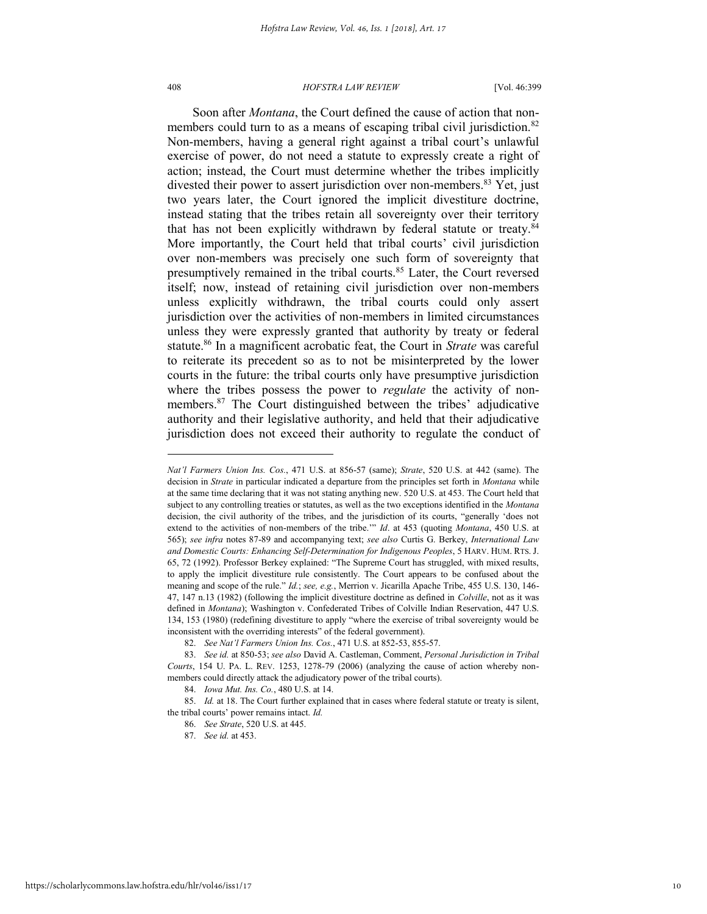#### 408 *HOFSTRA LAW REVIEW* [Vol. 46:399

Soon after *Montana*, the Court defined the cause of action that nonmembers could turn to as a means of escaping tribal civil jurisdiction.<sup>82</sup> Non-members, having a general right against a tribal court's unlawful exercise of power, do not need a statute to expressly create a right of action; instead, the Court must determine whether the tribes implicitly divested their power to assert jurisdiction over non-members.<sup>83</sup> Yet, just two years later, the Court ignored the implicit divestiture doctrine, instead stating that the tribes retain all sovereignty over their territory that has not been explicitly withdrawn by federal statute or treaty.<sup>84</sup> More importantly, the Court held that tribal courts' civil jurisdiction over non-members was precisely one such form of sovereignty that presumptively remained in the tribal courts.<sup>85</sup> Later, the Court reversed itself; now, instead of retaining civil jurisdiction over non-members unless explicitly withdrawn, the tribal courts could only assert jurisdiction over the activities of non-members in limited circumstances unless they were expressly granted that authority by treaty or federal statute.<sup>86</sup> In a magnificent acrobatic feat, the Court in *Strate* was careful to reiterate its precedent so as to not be misinterpreted by the lower courts in the future: the tribal courts only have presumptive jurisdiction where the tribes possess the power to *regulate* the activity of nonmembers.<sup>87</sup> The Court distinguished between the tribes' adjudicative authority and their legislative authority, and held that their adjudicative jurisdiction does not exceed their authority to regulate the conduct of

<span id="page-10-0"></span>*Nat'l Farmers Union Ins. Cos.*, 471 U.S. at 856-57 (same); *Strate*, 520 U.S. at 442 (same). The decision in *Strate* in particular indicated a departure from the principles set forth in *Montana* while at the same time declaring that it was not stating anything new. 520 U.S. at 453. The Court held that subject to any controlling treaties or statutes, as well as the two exceptions identified in the *Montana* decision, the civil authority of the tribes, and the jurisdiction of its courts, "generally 'does not extend to the activities of non-members of the tribe.'" *Id*. at 453 (quoting *Montana*, 450 U.S. at 565); *see infra* notes [87](#page-10-0)[-89](#page-11-0) and accompanying text; *see also* Curtis G. Berkey, *International Law and Domestic Courts: Enhancing Self-Determination for Indigenous Peoples*, 5 HARV. HUM. RTS. J. 65, 72 (1992). Professor Berkey explained: "The Supreme Court has struggled, with mixed results, to apply the implicit divestiture rule consistently. The Court appears to be confused about the meaning and scope of the rule." *Id.*; *see, e.g.*, Merrion v. Jicarilla Apache Tribe, 455 U.S. 130, 146- 47, 147 n.13 (1982) (following the implicit divestiture doctrine as defined in *Colville*, not as it was defined in *Montana*); Washington v. Confederated Tribes of Colville Indian Reservation, 447 U.S. 134, 153 (1980) (redefining divestiture to apply "where the exercise of tribal sovereignty would be inconsistent with the overriding interests" of the federal government).

<sup>82.</sup> *See Nat'l Farmers Union Ins. Cos.*, 471 U.S. at 852-53, 855-57.

<sup>83.</sup> *See id.* at 850-53; *see also* David A. Castleman, Comment, *Personal Jurisdiction in Tribal Courts*, 154 U. PA. L. REV. 1253, 1278-79 (2006) (analyzing the cause of action whereby nonmembers could directly attack the adjudicatory power of the tribal courts).

<sup>84.</sup> *Iowa Mut. Ins. Co.*, 480 U.S. at 14.

<sup>85.</sup> *Id.* at 18. The Court further explained that in cases where federal statute or treaty is silent, the tribal courts' power remains intact. *Id.*

<sup>86.</sup> *See Strate*, 520 U.S. at 445.

<sup>87.</sup> *See id.* at 453.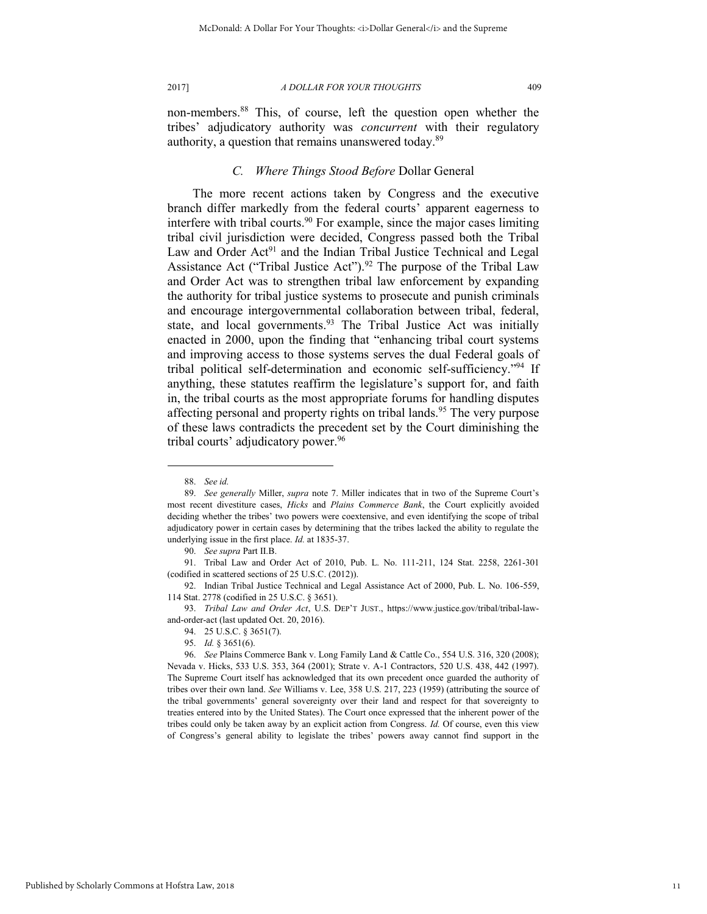<span id="page-11-0"></span>

non-members.<sup>88</sup> This, of course, left the question open whether the tribes' adjudicatory authority was *concurrent* with their regulatory authority, a question that remains unanswered today.<sup>89</sup>

## *C. Where Things Stood Before* Dollar General

The more recent actions taken by Congress and the executive branch differ markedly from the federal courts' apparent eagerness to interfere with tribal courts.<sup>90</sup> For example, since the major cases limiting tribal civil jurisdiction were decided, Congress passed both the Tribal Law and Order Act<sup>91</sup> and the Indian Tribal Justice Technical and Legal Assistance Act ("Tribal Justice Act").<sup>92</sup> The purpose of the Tribal Law and Order Act was to strengthen tribal law enforcement by expanding the authority for tribal justice systems to prosecute and punish criminals and encourage intergovernmental collaboration between tribal, federal, state, and local governments.<sup>93</sup> The Tribal Justice Act was initially enacted in 2000, upon the finding that "enhancing tribal court systems and improving access to those systems serves the dual Federal goals of tribal political self-determination and economic self-sufficiency."<sup>94</sup> If anything, these statutes reaffirm the legislature's support for, and faith in, the tribal courts as the most appropriate forums for handling disputes affecting personal and property rights on tribal lands.<sup>95</sup> The very purpose of these laws contradicts the precedent set by the Court diminishing the tribal courts' adjudicatory power.<sup>96</sup>

<sup>88.</sup> *See id.*

<sup>89.</sup> *See generally* Miller, *supra* note [7](#page-1-0). Miller indicates that in two of the Supreme Court's most recent divestiture cases, *Hicks* and *Plains Commerce Bank*, the Court explicitly avoided deciding whether the tribes' two powers were coextensive, and even identifying the scope of tribal adjudicatory power in certain cases by determining that the tribes lacked the ability to regulate the underlying issue in the first place. *Id.* at 1835-37.

<sup>90.</sup> *See supra* Part II.B.

<sup>91.</sup> Tribal Law and Order Act of 2010, Pub. L. No. 111-211, 124 Stat. 2258, 2261-301 (codified in scattered sections of 25 U.S.C. (2012)).

<sup>92.</sup> Indian Tribal Justice Technical and Legal Assistance Act of 2000, Pub. L. No. 106-559, 114 Stat. 2778 (codified in 25 U.S.C. § 3651).

<sup>93.</sup> *Tribal Law and Order Act*, U.S. DEP'T JUST., https://www.justice.gov/tribal/tribal-lawand-order-act (last updated Oct. 20, 2016).

<sup>94. 25</sup> U.S.C. § 3651(7).

<sup>95.</sup> *Id.* § 3651(6).

<sup>96.</sup> *See* Plains Commerce Bank v. Long Family Land & Cattle Co., 554 U.S. 316, 320 (2008); Nevada v. Hicks, 533 U.S. 353, 364 (2001); Strate v. A-1 Contractors, 520 U.S. 438, 442 (1997). The Supreme Court itself has acknowledged that its own precedent once guarded the authority of tribes over their own land. *See* Williams v. Lee, 358 U.S. 217, 223 (1959) (attributing the source of the tribal governments' general sovereignty over their land and respect for that sovereignty to treaties entered into by the United States). The Court once expressed that the inherent power of the tribes could only be taken away by an explicit action from Congress. *Id.* Of course, even this view of Congress's general ability to legislate the tribes' powers away cannot find support in the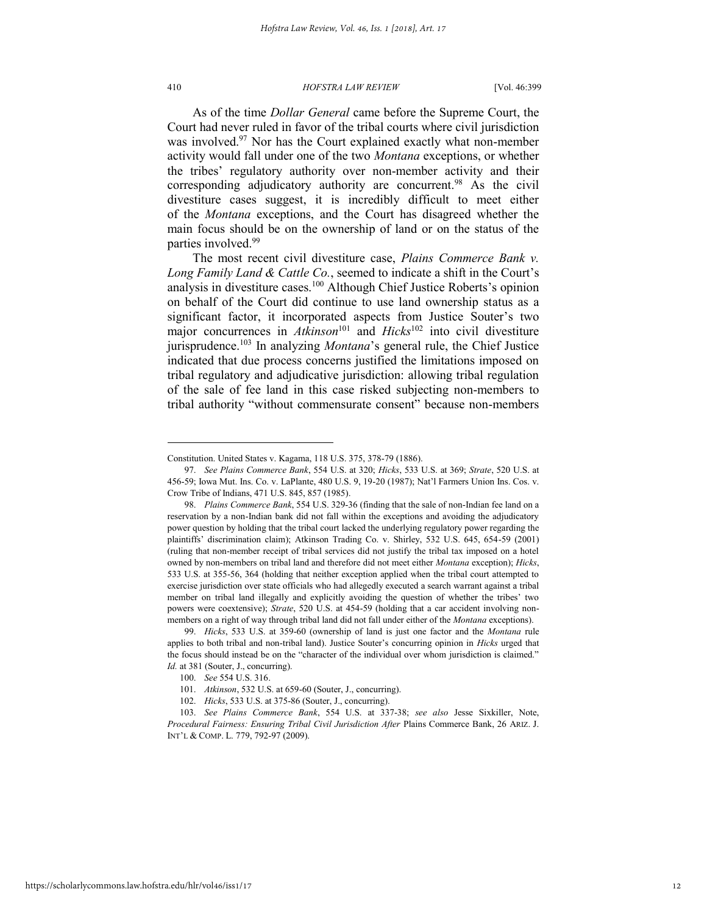#### 410 *HOFSTRA LAW REVIEW* [Vol. 46:399

As of the time *Dollar General* came before the Supreme Court, the Court had never ruled in favor of the tribal courts where civil jurisdiction was involved.<sup>97</sup> Nor has the Court explained exactly what non-member activity would fall under one of the two *Montana* exceptions, or whether the tribes' regulatory authority over non-member activity and their corresponding adjudicatory authority are concurrent.<sup>98</sup> As the civil divestiture cases suggest, it is incredibly difficult to meet either of the *Montana* exceptions, and the Court has disagreed whether the main focus should be on the ownership of land or on the status of the parties involved.<sup>99</sup>

<span id="page-12-0"></span>The most recent civil divestiture case, *Plains Commerce Bank v. Long Family Land & Cattle Co.*, seemed to indicate a shift in the Court's analysis in divestiture cases.<sup>100</sup> Although Chief Justice Roberts's opinion on behalf of the Court did continue to use land ownership status as a significant factor, it incorporated aspects from Justice Souter's two major concurrences in *Atkinson*<sup>101</sup> and *Hicks*<sup>102</sup> into civil divestiture jurisprudence.<sup>103</sup> In analyzing *Montana*'s general rule, the Chief Justice indicated that due process concerns justified the limitations imposed on tribal regulatory and adjudicative jurisdiction: allowing tribal regulation of the sale of fee land in this case risked subjecting non-members to tribal authority "without commensurate consent" because non-members

Constitution. United States v. Kagama, 118 U.S. 375, 378-79 (1886).

<sup>97.</sup> *See Plains Commerce Bank*, 554 U.S. at 320; *Hicks*, 533 U.S. at 369; *Strate*, 520 U.S. at 456-59; Iowa Mut. Ins. Co. v. LaPlante, 480 U.S. 9, 19-20 (1987); Nat'l Farmers Union Ins. Cos. v. Crow Tribe of Indians, 471 U.S. 845, 857 (1985).

<sup>98.</sup> *Plains Commerce Bank*, 554 U.S. 329-36 (finding that the sale of non-Indian fee land on a reservation by a non-Indian bank did not fall within the exceptions and avoiding the adjudicatory power question by holding that the tribal court lacked the underlying regulatory power regarding the plaintiffs' discrimination claim); Atkinson Trading Co. v. Shirley, 532 U.S. 645, 654-59 (2001) (ruling that non-member receipt of tribal services did not justify the tribal tax imposed on a hotel owned by non-members on tribal land and therefore did not meet either *Montana* exception); *Hicks*, 533 U.S. at 355-56, 364 (holding that neither exception applied when the tribal court attempted to exercise jurisdiction over state officials who had allegedly executed a search warrant against a tribal member on tribal land illegally and explicitly avoiding the question of whether the tribes' two powers were coextensive); *Strate*, 520 U.S. at 454-59 (holding that a car accident involving nonmembers on a right of way through tribal land did not fall under either of the *Montana* exceptions).

<sup>99.</sup> *Hicks*, 533 U.S. at 359-60 (ownership of land is just one factor and the *Montana* rule applies to both tribal and non-tribal land). Justice Souter's concurring opinion in *Hicks* urged that the focus should instead be on the "character of the individual over whom jurisdiction is claimed." *Id.* at 381 (Souter, J., concurring).

<sup>100.</sup> *See* 554 U.S. 316.

<sup>101.</sup> *Atkinson*, 532 U.S. at 659-60 (Souter, J., concurring).

<sup>102.</sup> *Hicks*, 533 U.S. at 375-86 (Souter, J., concurring).

<sup>103.</sup> *See Plains Commerce Bank*, 554 U.S. at 337-38; *see also* Jesse Sixkiller, Note, *Procedural Fairness: Ensuring Tribal Civil Jurisdiction After* Plains Commerce Bank, 26 ARIZ. J. INT'L & COMP. L. 779, 792-97 (2009).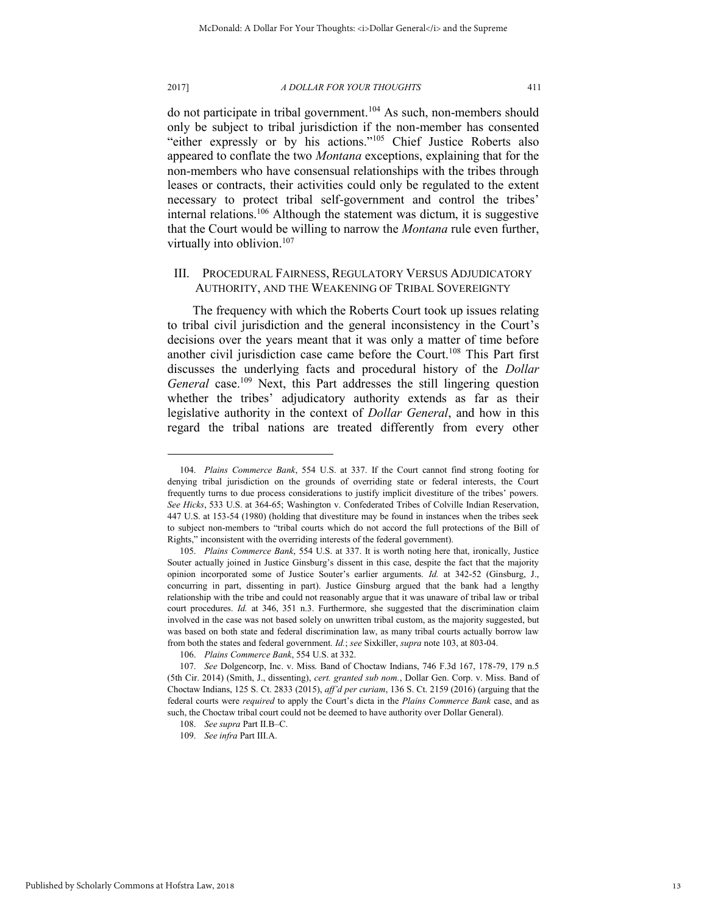2017] *A DOLLAR FOR YOUR THOUGHTS* 411

do not participate in tribal government.<sup>104</sup> As such, non-members should only be subject to tribal jurisdiction if the non-member has consented "either expressly or by his actions."<sup>105</sup> Chief Justice Roberts also appeared to conflate the two *Montana* exceptions, explaining that for the non-members who have consensual relationships with the tribes through leases or contracts, their activities could only be regulated to the extent necessary to protect tribal self-government and control the tribes' internal relations.<sup>106</sup> Although the statement was dictum, it is suggestive that the Court would be willing to narrow the *Montana* rule even further, virtually into oblivion.<sup>107</sup>

## III. PROCEDURAL FAIRNESS, REGULATORY VERSUS ADJUDICATORY AUTHORITY, AND THE WEAKENING OF TRIBAL SOVEREIGNTY

The frequency with which the Roberts Court took up issues relating to tribal civil jurisdiction and the general inconsistency in the Court's decisions over the years meant that it was only a matter of time before another civil jurisdiction case came before the Court.<sup>108</sup> This Part first discusses the underlying facts and procedural history of the *Dollar*  General case.<sup>109</sup> Next, this Part addresses the still lingering question whether the tribes' adjudicatory authority extends as far as their legislative authority in the context of *Dollar General*, and how in this regard the tribal nations are treated differently from every other

<sup>104.</sup> *Plains Commerce Bank*, 554 U.S. at 337. If the Court cannot find strong footing for denying tribal jurisdiction on the grounds of overriding state or federal interests, the Court frequently turns to due process considerations to justify implicit divestiture of the tribes' powers. *See Hicks*, 533 U.S. at 364-65; Washington v. Confederated Tribes of Colville Indian Reservation, 447 U.S. at 153-54 (1980) (holding that divestiture may be found in instances when the tribes seek to subject non-members to "tribal courts which do not accord the full protections of the Bill of Rights," inconsistent with the overriding interests of the federal government).

<sup>105.</sup> *Plains Commerce Bank*, 554 U.S. at 337. It is worth noting here that, ironically, Justice Souter actually joined in Justice Ginsburg's dissent in this case, despite the fact that the majority opinion incorporated some of Justice Souter's earlier arguments. *Id.* at 342-52 (Ginsburg, J., concurring in part, dissenting in part). Justice Ginsburg argued that the bank had a lengthy relationship with the tribe and could not reasonably argue that it was unaware of tribal law or tribal court procedures. *Id.* at 346, 351 n.3. Furthermore, she suggested that the discrimination claim involved in the case was not based solely on unwritten tribal custom, as the majority suggested, but was based on both state and federal discrimination law, as many tribal courts actually borrow law from both the states and federal government. *Id.*; *see* Sixkiller, *supra* not[e 103,](#page-12-0) at 803-04.

<sup>106.</sup> *Plains Commerce Bank*, 554 U.S. at 332.

<sup>107.</sup> *See* Dolgencorp, Inc. v. Miss. Band of Choctaw Indians, 746 F.3d 167, 178-79, 179 n.5 (5th Cir. 2014) (Smith, J., dissenting), *cert. granted sub nom.*, Dollar Gen. Corp. v. Miss. Band of Choctaw Indians, 125 S. Ct. 2833 (2015), *aff'd per curiam*, 136 S. Ct. 2159 (2016) (arguing that the federal courts were *required* to apply the Court's dicta in the *Plains Commerce Bank* case, and as such, the Choctaw tribal court could not be deemed to have authority over Dollar General).

<sup>108.</sup> *See supra* Part II.B–C.

<sup>109.</sup> *See infra* Part III.A.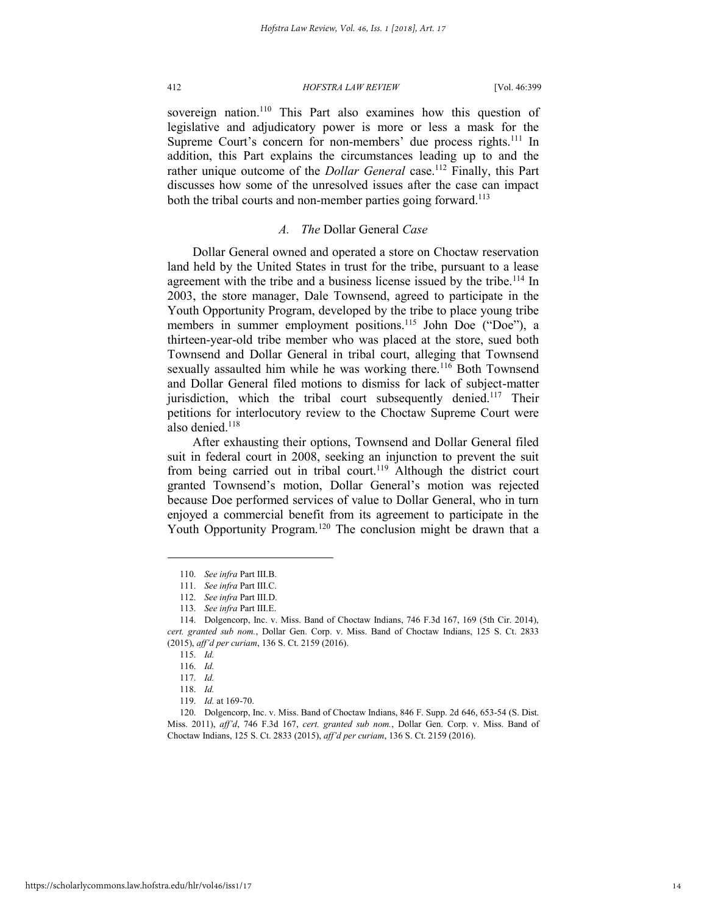<span id="page-14-0"></span>

sovereign nation.<sup>110</sup> This Part also examines how this question of legislative and adjudicatory power is more or less a mask for the Supreme Court's concern for non-members' due process rights.<sup>111</sup> In addition, this Part explains the circumstances leading up to and the rather unique outcome of the *Dollar General* case.<sup>112</sup> Finally, this Part discusses how some of the unresolved issues after the case can impact both the tribal courts and non-member parties going forward.<sup>113</sup>

## *A. The* Dollar General *Case*

Dollar General owned and operated a store on Choctaw reservation land held by the United States in trust for the tribe, pursuant to a lease agreement with the tribe and a business license issued by the tribe.<sup>114</sup> In 2003, the store manager, Dale Townsend, agreed to participate in the Youth Opportunity Program, developed by the tribe to place young tribe members in summer employment positions.<sup>115</sup> John Doe ("Doe"), a thirteen-year-old tribe member who was placed at the store, sued both Townsend and Dollar General in tribal court, alleging that Townsend sexually assaulted him while he was working there.<sup>116</sup> Both Townsend and Dollar General filed motions to dismiss for lack of subject-matter jurisdiction, which the tribal court subsequently denied.<sup>117</sup> Their petitions for interlocutory review to the Choctaw Supreme Court were also denied.<sup>118</sup>

After exhausting their options, Townsend and Dollar General filed suit in federal court in 2008, seeking an injunction to prevent the suit from being carried out in tribal court.<sup>119</sup> Although the district court granted Townsend's motion, Dollar General's motion was rejected because Doe performed services of value to Dollar General, who in turn enjoyed a commercial benefit from its agreement to participate in the Youth Opportunity Program.<sup>120</sup> The conclusion might be drawn that a

<sup>110.</sup> *See infra* Part III.B.

<sup>111.</sup> *See infra* Part III.C.

<sup>112.</sup> *See infra* Part III.D.

<sup>113.</sup> *See infra* Part III.E.

<sup>114.</sup> Dolgencorp, Inc. v. Miss. Band of Choctaw Indians, 746 F.3d 167, 169 (5th Cir. 2014), *cert. granted sub nom.*, Dollar Gen. Corp. v. Miss. Band of Choctaw Indians, 125 S. Ct. 2833 (2015), *aff'd per curiam*, 136 S. Ct. 2159 (2016).

<sup>115.</sup> *Id.*

<sup>116.</sup> *Id.*

<sup>117.</sup> *Id.*

<sup>118.</sup> *Id.*

<sup>119.</sup> *Id.* at 169-70.

<sup>120.</sup> Dolgencorp, Inc. v. Miss. Band of Choctaw Indians, 846 F. Supp. 2d 646, 653-54 (S. Dist. Miss. 2011), *aff'd*, 746 F.3d 167, *cert. granted sub nom.*, Dollar Gen. Corp. v. Miss. Band of Choctaw Indians, 125 S. Ct. 2833 (2015), *aff'd per curiam*, 136 S. Ct. 2159 (2016).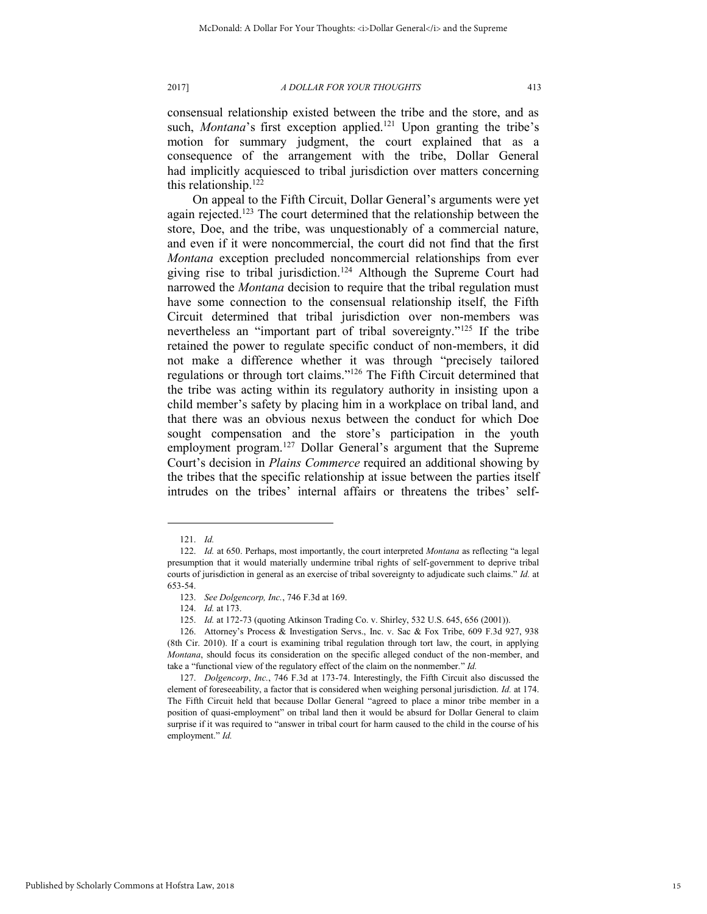consensual relationship existed between the tribe and the store, and as such, *Montana*'s first exception applied.<sup>121</sup> Upon granting the tribe's motion for summary judgment, the court explained that as a consequence of the arrangement with the tribe, Dollar General had implicitly acquiesced to tribal jurisdiction over matters concerning this relationship.<sup>122</sup>

On appeal to the Fifth Circuit, Dollar General's arguments were yet again rejected.<sup>123</sup> The court determined that the relationship between the store, Doe, and the tribe, was unquestionably of a commercial nature, and even if it were noncommercial, the court did not find that the first *Montana* exception precluded noncommercial relationships from ever giving rise to tribal jurisdiction.<sup>124</sup> Although the Supreme Court had narrowed the *Montana* decision to require that the tribal regulation must have some connection to the consensual relationship itself, the Fifth Circuit determined that tribal jurisdiction over non-members was nevertheless an "important part of tribal sovereignty."<sup>125</sup> If the tribe retained the power to regulate specific conduct of non-members, it did not make a difference whether it was through "precisely tailored regulations or through tort claims."<sup>126</sup> The Fifth Circuit determined that the tribe was acting within its regulatory authority in insisting upon a child member's safety by placing him in a workplace on tribal land, and that there was an obvious nexus between the conduct for which Doe sought compensation and the store's participation in the youth employment program.<sup>127</sup> Dollar General's argument that the Supreme Court's decision in *Plains Commerce* required an additional showing by the tribes that the specific relationship at issue between the parties itself intrudes on the tribes' internal affairs or threatens the tribes' self-

<sup>121.</sup> *Id.*

<sup>122.</sup> *Id.* at 650. Perhaps, most importantly, the court interpreted *Montana* as reflecting "a legal presumption that it would materially undermine tribal rights of self-government to deprive tribal courts of jurisdiction in general as an exercise of tribal sovereignty to adjudicate such claims." *Id.* at 653-54.

<sup>123.</sup> *See Dolgencorp, Inc.*, 746 F.3d at 169.

<sup>124.</sup> *Id.* at 173.

<sup>125.</sup> *Id.* at 172-73 (quoting Atkinson Trading Co. v. Shirley, 532 U.S. 645, 656 (2001)).

<sup>126.</sup> Attorney's Process & Investigation Servs., Inc. v. Sac & Fox Tribe, 609 F.3d 927, 938 (8th Cir. 2010). If a court is examining tribal regulation through tort law, the court, in applying *Montana*, should focus its consideration on the specific alleged conduct of the non-member, and take a "functional view of the regulatory effect of the claim on the nonmember." *Id.*

<sup>127.</sup> *Dolgencorp*, *Inc.*, 746 F.3d at 173-74. Interestingly, the Fifth Circuit also discussed the element of foreseeability, a factor that is considered when weighing personal jurisdiction. *Id.* at 174. The Fifth Circuit held that because Dollar General "agreed to place a minor tribe member in a position of quasi-employment" on tribal land then it would be absurd for Dollar General to claim surprise if it was required to "answer in tribal court for harm caused to the child in the course of his employment." *Id.*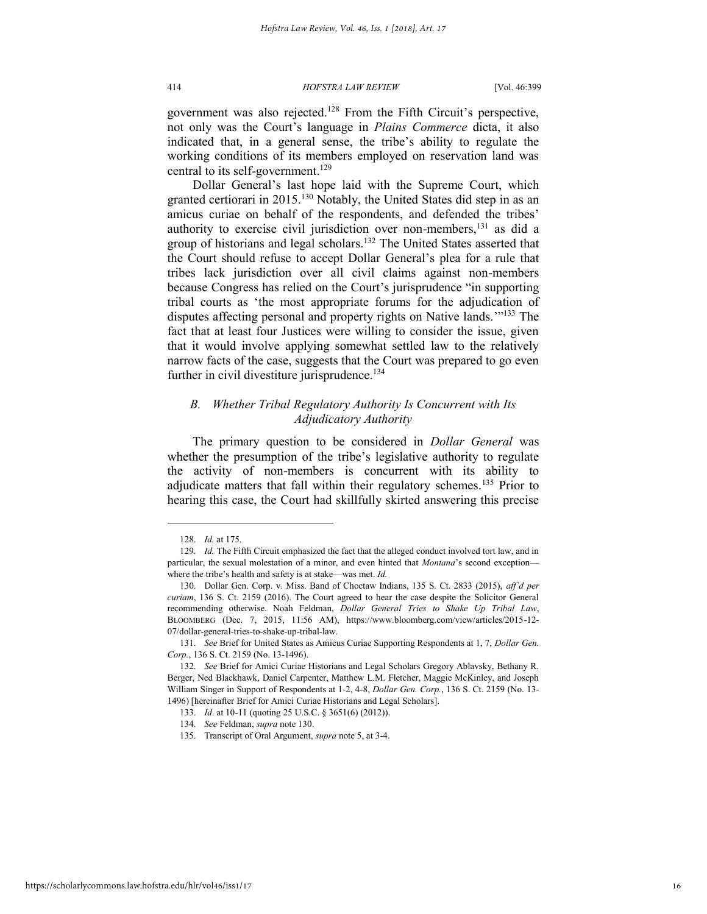government was also rejected.<sup>128</sup> From the Fifth Circuit's perspective, not only was the Court's language in *Plains Commerce* dicta, it also indicated that, in a general sense, the tribe's ability to regulate the working conditions of its members employed on reservation land was central to its self-government.<sup>129</sup>

<span id="page-16-1"></span><span id="page-16-0"></span>Dollar General's last hope laid with the Supreme Court, which granted certiorari in 2015.<sup>130</sup> Notably, the United States did step in as an amicus curiae on behalf of the respondents, and defended the tribes' authority to exercise civil jurisdiction over non-members,<sup>131</sup> as did a group of historians and legal scholars.<sup>132</sup> The United States asserted that the Court should refuse to accept Dollar General's plea for a rule that tribes lack jurisdiction over all civil claims against non-members because Congress has relied on the Court's jurisprudence "in supporting tribal courts as 'the most appropriate forums for the adjudication of disputes affecting personal and property rights on Native lands.'" <sup>133</sup> The fact that at least four Justices were willing to consider the issue, given that it would involve applying somewhat settled law to the relatively narrow facts of the case, suggests that the Court was prepared to go even further in civil divestiture jurisprudence.<sup>134</sup>

## *B. Whether Tribal Regulatory Authority Is Concurrent with Its Adjudicatory Authority*

The primary question to be considered in *Dollar General* was whether the presumption of the tribe's legislative authority to regulate the activity of non-members is concurrent with its ability to adjudicate matters that fall within their regulatory schemes.<sup>135</sup> Prior to hearing this case, the Court had skillfully skirted answering this precise

<sup>128.</sup> *Id.* at 175.

<sup>129.</sup> *Id.* The Fifth Circuit emphasized the fact that the alleged conduct involved tort law, and in particular, the sexual molestation of a minor, and even hinted that *Montana*'s second exception where the tribe's health and safety is at stake—was met. *Id.*

<sup>130.</sup> Dollar Gen. Corp. v. Miss. Band of Choctaw Indians, 135 S. Ct. 2833 (2015), *aff'd per curiam*, 136 S. Ct. 2159 (2016). The Court agreed to hear the case despite the Solicitor General recommending otherwise. Noah Feldman, *Dollar General Tries to Shake Up Tribal Law*, BLOOMBERG (Dec. 7, 2015, 11:56 AM), https://www.bloomberg.com/view/articles/2015-12- 07/dollar-general-tries-to-shake-up-tribal-law.

<sup>131.</sup> *See* Brief for United States as Amicus Curiae Supporting Respondents at 1, 7, *Dollar Gen. Corp.*, 136 S. Ct. 2159 (No. 13-1496).

<sup>132.</sup> *See* Brief for Amici Curiae Historians and Legal Scholars Gregory Ablavsky, Bethany R. Berger, Ned Blackhawk, Daniel Carpenter, Matthew L.M. Fletcher, Maggie McKinley, and Joseph William Singer in Support of Respondents at 1-2, 4-8, *Dollar Gen. Corp.*, 136 S. Ct. 2159 (No. 13- 1496) [hereinafter Brief for Amici Curiae Historians and Legal Scholars].

<sup>133.</sup> *Id*. at 10-11 (quoting 25 U.S.C. § 3651(6) (2012)).

<sup>134.</sup> *See* Feldman, *supra* not[e 130.](#page-16-0)

<sup>135.</sup> Transcript of Oral Argument, *supra* not[e 5,](#page-1-2) at 3-4.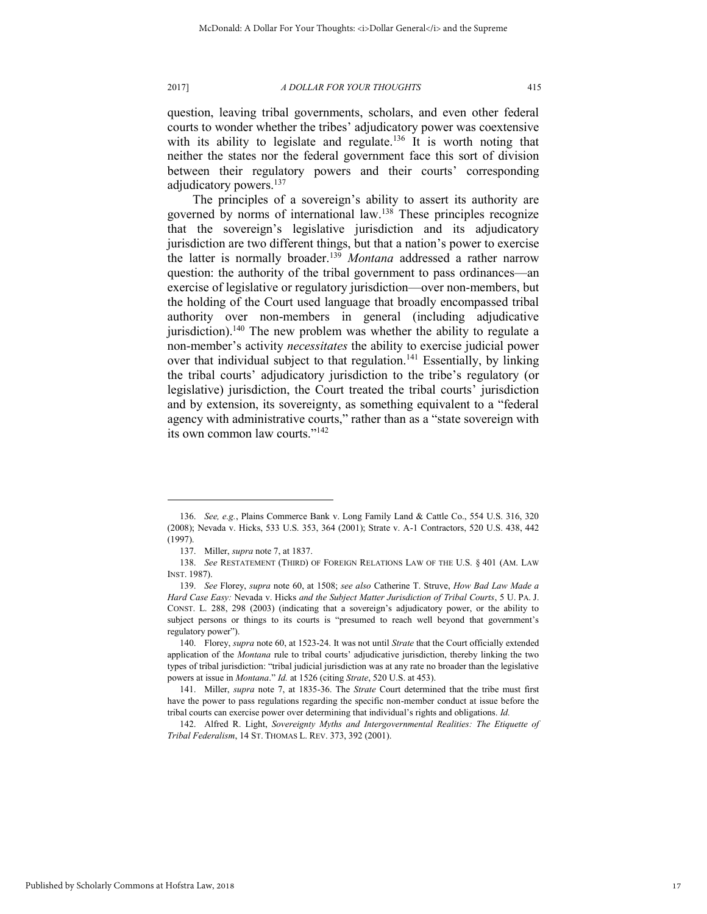question, leaving tribal governments, scholars, and even other federal courts to wonder whether the tribes' adjudicatory power was coextensive with its ability to legislate and regulate.<sup>136</sup> It is worth noting that neither the states nor the federal government face this sort of division between their regulatory powers and their courts' corresponding adjudicatory powers.<sup>137</sup>

The principles of a sovereign's ability to assert its authority are governed by norms of international law.<sup>138</sup> These principles recognize that the sovereign's legislative jurisdiction and its adjudicatory jurisdiction are two different things, but that a nation's power to exercise the latter is normally broader.<sup>139</sup> *Montana* addressed a rather narrow question: the authority of the tribal government to pass ordinances—an exercise of legislative or regulatory jurisdiction—over non-members, but the holding of the Court used language that broadly encompassed tribal authority over non-members in general (including adjudicative jurisdiction).<sup>140</sup> The new problem was whether the ability to regulate a non-member's activity *necessitates* the ability to exercise judicial power over that individual subject to that regulation.<sup>141</sup> Essentially, by linking the tribal courts' adjudicatory jurisdiction to the tribe's regulatory (or legislative) jurisdiction, the Court treated the tribal courts' jurisdiction and by extension, its sovereignty, as something equivalent to a "federal agency with administrative courts," rather than as a "state sovereign with its own common law courts."<sup>142</sup>

<sup>136.</sup> *See, e.g.*, Plains Commerce Bank v. Long Family Land & Cattle Co., 554 U.S. 316, 320 (2008); Nevada v. Hicks, 533 U.S. 353, 364 (2001); Strate v. A-1 Contractors, 520 U.S. 438, 442 (1997).

<sup>137.</sup> Miller, *supra* not[e 7,](#page-1-0) at 1837.

<sup>138.</sup> *See* RESTATEMENT (THIRD) OF FOREIGN RELATIONS LAW OF THE U.S. § 401 (AM. LAW INST. 1987).

<sup>139.</sup> *See* Florey, *supra* note [60,](#page-7-1) at 1508; *see also* Catherine T. Struve, *How Bad Law Made a Hard Case Easy:* Nevada v. Hicks *and the Subject Matter Jurisdiction of Tribal Courts*, 5 U. PA. J. CONST. L. 288, 298 (2003) (indicating that a sovereign's adjudicatory power, or the ability to subject persons or things to its courts is "presumed to reach well beyond that government's regulatory power").

<sup>140.</sup> Florey, *supra* not[e 60,](#page-7-1) at 1523-24. It was not until *Strate* that the Court officially extended application of the *Montana* rule to tribal courts' adjudicative jurisdiction, thereby linking the two types of tribal jurisdiction: "tribal judicial jurisdiction was at any rate no broader than the legislative powers at issue in *Montana*." *Id.* at 1526 (citing *Strate*, 520 U.S. at 453).

<sup>141.</sup> Miller, *supra* note [7,](#page-1-0) at 1835-36. The *Strate* Court determined that the tribe must first have the power to pass regulations regarding the specific non-member conduct at issue before the tribal courts can exercise power over determining that individual's rights and obligations. *Id.*

<sup>142.</sup> Alfred R. Light, *Sovereignty Myths and Intergovernmental Realities: The Etiquette of Tribal Federalism*, 14 ST. THOMAS L. REV. 373, 392 (2001).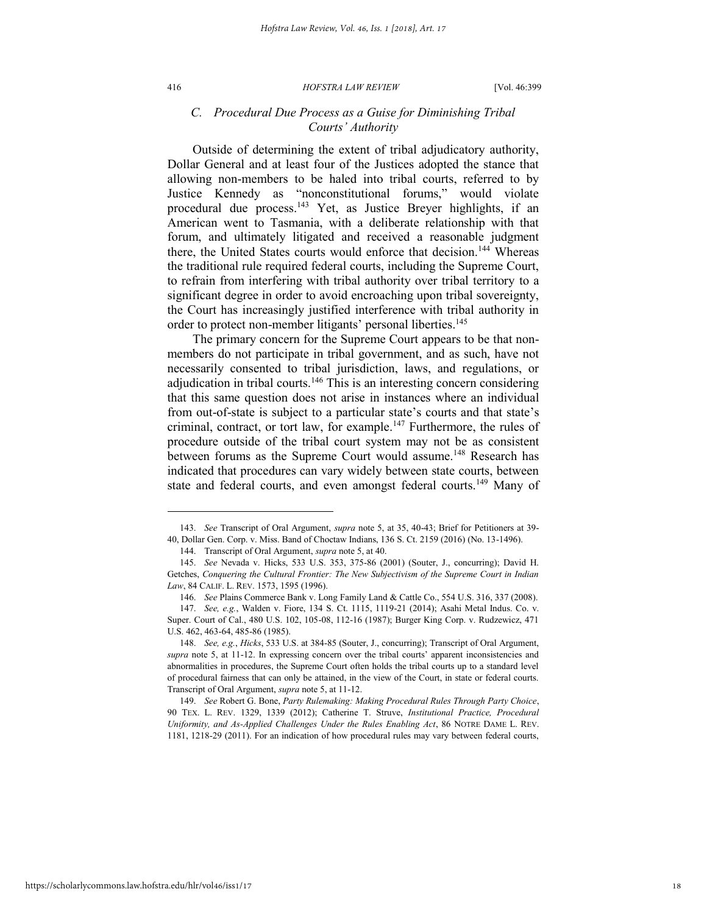#### 416 *HOFSTRA LAW REVIEW* [Vol. 46:399

## *C. Procedural Due Process as a Guise for Diminishing Tribal Courts' Authority*

Outside of determining the extent of tribal adjudicatory authority, Dollar General and at least four of the Justices adopted the stance that allowing non-members to be haled into tribal courts, referred to by Justice Kennedy as "nonconstitutional forums," would violate procedural due process.<sup>143</sup> Yet, as Justice Breyer highlights, if an American went to Tasmania, with a deliberate relationship with that forum, and ultimately litigated and received a reasonable judgment there, the United States courts would enforce that decision.<sup>144</sup> Whereas the traditional rule required federal courts, including the Supreme Court, to refrain from interfering with tribal authority over tribal territory to a significant degree in order to avoid encroaching upon tribal sovereignty, the Court has increasingly justified interference with tribal authority in order to protect non-member litigants' personal liberties.<sup>145</sup>

The primary concern for the Supreme Court appears to be that nonmembers do not participate in tribal government, and as such, have not necessarily consented to tribal jurisdiction, laws, and regulations, or adjudication in tribal courts.<sup>146</sup> This is an interesting concern considering that this same question does not arise in instances where an individual from out-of-state is subject to a particular state's courts and that state's criminal, contract, or tort law, for example.<sup>147</sup> Furthermore, the rules of procedure outside of the tribal court system may not be as consistent between forums as the Supreme Court would assume.<sup>148</sup> Research has indicated that procedures can vary widely between state courts, between state and federal courts, and even amongst federal courts.<sup>149</sup> Many of

<sup>143.</sup> *See* Transcript of Oral Argument, *supra* note [5,](#page-1-2) at 35, 40-43; Brief for Petitioners at 39- 40, Dollar Gen. Corp. v. Miss. Band of Choctaw Indians, 136 S. Ct. 2159 (2016) (No. 13-1496).

<sup>144.</sup> Transcript of Oral Argument, *supra* not[e 5,](#page-1-2) at 40.

<sup>145.</sup> *See* Nevada v. Hicks, 533 U.S. 353, 375-86 (2001) (Souter, J., concurring); David H. Getches, *Conquering the Cultural Frontier: The New Subjectivism of the Supreme Court in Indian Law*, 84 CALIF. L. REV. 1573, 1595 (1996).

<sup>146.</sup> *See* Plains Commerce Bank v. Long Family Land & Cattle Co., 554 U.S. 316, 337 (2008).

<sup>147.</sup> *See, e.g.*, Walden v. Fiore, 134 S. Ct. 1115, 1119-21 (2014); Asahi Metal Indus. Co. v. Super. Court of Cal., 480 U.S. 102, 105-08, 112-16 (1987); Burger King Corp. v. Rudzewicz, 471 U.S. 462, 463-64, 485-86 (1985).

<sup>148.</sup> *See, e.g.*, *Hicks*, 533 U.S. at 384-85 (Souter, J., concurring); Transcript of Oral Argument, *supra* note [5,](#page-1-2) at 11-12. In expressing concern over the tribal courts' apparent inconsistencies and abnormalities in procedures, the Supreme Court often holds the tribal courts up to a standard level of procedural fairness that can only be attained, in the view of the Court, in state or federal courts. Transcript of Oral Argument, *supra* not[e 5,](#page-1-2) at 11-12.

<sup>149.</sup> *See* Robert G. Bone, *Party Rulemaking: Making Procedural Rules Through Party Choice*, 90 TEX. L. REV. 1329, 1339 (2012); Catherine T. Struve, *Institutional Practice, Procedural Uniformity, and As-Applied Challenges Under the Rules Enabling Act*, 86 NOTRE DAME L. REV. 1181, 1218-29 (2011). For an indication of how procedural rules may vary between federal courts,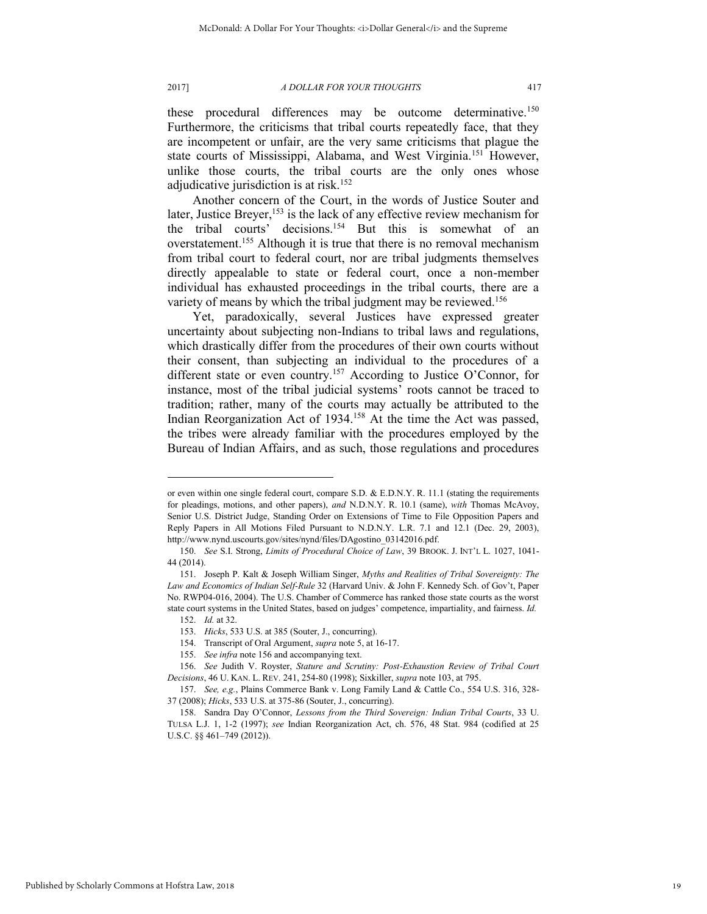these procedural differences may be outcome determinative.<sup>150</sup> Furthermore, the criticisms that tribal courts repeatedly face, that they are incompetent or unfair, are the very same criticisms that plague the state courts of Mississippi, Alabama, and West Virginia.<sup>151</sup> However, unlike those courts, the tribal courts are the only ones whose adjudicative jurisdiction is at risk.<sup>152</sup>

Another concern of the Court, in the words of Justice Souter and later, Justice Breyer,<sup>153</sup> is the lack of any effective review mechanism for the tribal courts' decisions.<sup>154</sup> But this is somewhat of an overstatement.<sup>155</sup> Although it is true that there is no removal mechanism from tribal court to federal court, nor are tribal judgments themselves directly appealable to state or federal court, once a non-member individual has exhausted proceedings in the tribal courts, there are a variety of means by which the tribal judgment may be reviewed.<sup>156</sup>

Yet, paradoxically, several Justices have expressed greater uncertainty about subjecting non-Indians to tribal laws and regulations, which drastically differ from the procedures of their own courts without their consent, than subjecting an individual to the procedures of a different state or even country.<sup>157</sup> According to Justice O'Connor, for instance, most of the tribal judicial systems' roots cannot be traced to tradition; rather, many of the courts may actually be attributed to the Indian Reorganization Act of 1934.<sup>158</sup> At the time the Act was passed, the tribes were already familiar with the procedures employed by the Bureau of Indian Affairs, and as such, those regulations and procedures

<span id="page-19-2"></span><span id="page-19-0"></span>

<span id="page-19-1"></span>or even within one single federal court, compare S.D. & E.D.N.Y. R. 11.1 (stating the requirements for pleadings, motions, and other papers), *and* N.D.N.Y. R. 10.1 (same), *with* Thomas McAvoy, Senior U.S. District Judge, Standing Order on Extensions of Time to File Opposition Papers and Reply Papers in All Motions Filed Pursuant to N.D.N.Y. L.R. 7.1 and 12.1 (Dec. 29, 2003), http://www.nynd.uscourts.gov/sites/nynd/files/DAgostino\_03142016.pdf.

<sup>150.</sup> *See* S.I. Strong, *Limits of Procedural Choice of Law*, 39 BROOK. J. INT'L L. 1027, 1041- 44 (2014).

<sup>151.</sup> Joseph P. Kalt & Joseph William Singer, *Myths and Realities of Tribal Sovereignty: The Law and Economics of Indian Self-Rule* 32 (Harvard Univ. & John F. Kennedy Sch. of Gov't, Paper No. RWP04-016, 2004). The U.S. Chamber of Commerce has ranked those state courts as the worst state court systems in the United States, based on judges' competence, impartiality, and fairness. *Id.*

<sup>152.</sup> *Id.* at 32.

<sup>153.</sup> *Hicks*, 533 U.S. at 385 (Souter, J., concurring).

<sup>154.</sup> Transcript of Oral Argument, *supra* not[e 5,](#page-1-2) at 16-17.

<sup>155.</sup> *See infra* not[e 156 a](#page-19-0)nd accompanying text.

<sup>156.</sup> *See* Judith V. Royster, *Stature and Scrutiny: Post-Exhaustion Review of Tribal Court Decisions*, 46 U. KAN. L. REV. 241, 254-80 (1998); Sixkiller, *supra* not[e 103,](#page-12-0) at 795.

<sup>157.</sup> *See, e.g.*, Plains Commerce Bank v. Long Family Land & Cattle Co., 554 U.S. 316, 328- 37 (2008); *Hicks*, 533 U.S. at 375-86 (Souter, J., concurring).

<sup>158.</sup> Sandra Day O'Connor, *Lessons from the Third Sovereign: Indian Tribal Courts*, 33 U. TULSA L.J. 1, 1-2 (1997); *see* Indian Reorganization Act, ch. 576, 48 Stat. 984 (codified at 25 U.S.C. §§ 461–749 (2012)).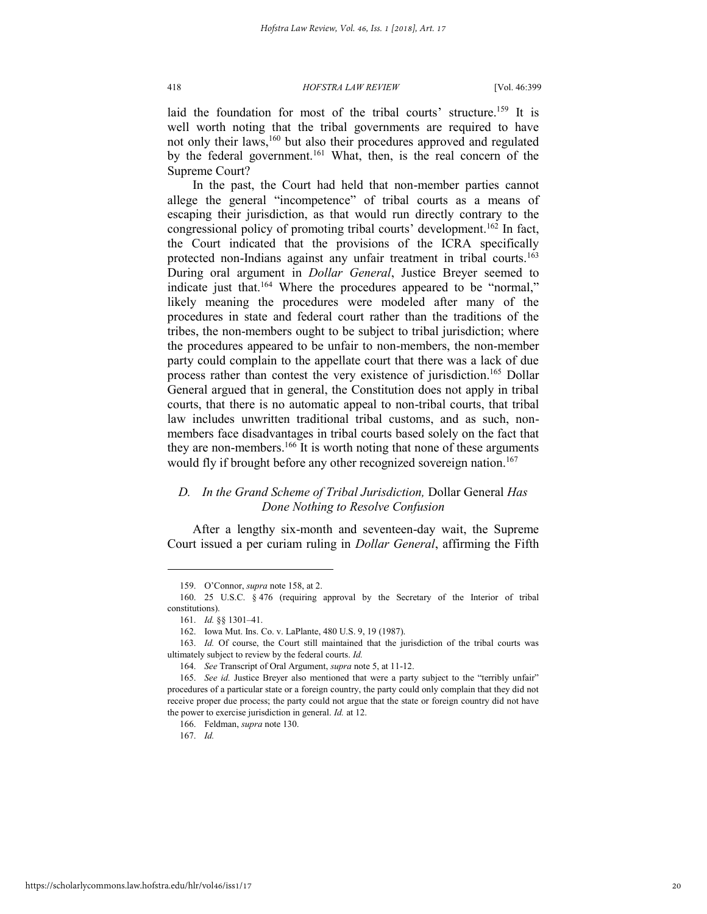laid the foundation for most of the tribal courts' structure.<sup>159</sup> It is well worth noting that the tribal governments are required to have not only their laws,<sup>160</sup> but also their procedures approved and regulated by the federal government.<sup>161</sup> What, then, is the real concern of the Supreme Court?

In the past, the Court had held that non-member parties cannot allege the general "incompetence" of tribal courts as a means of escaping their jurisdiction, as that would run directly contrary to the congressional policy of promoting tribal courts' development.<sup>162</sup> In fact, the Court indicated that the provisions of the ICRA specifically protected non-Indians against any unfair treatment in tribal courts.<sup>163</sup> During oral argument in *Dollar General*, Justice Breyer seemed to indicate just that.<sup>164</sup> Where the procedures appeared to be "normal," likely meaning the procedures were modeled after many of the procedures in state and federal court rather than the traditions of the tribes, the non-members ought to be subject to tribal jurisdiction; where the procedures appeared to be unfair to non-members, the non-member party could complain to the appellate court that there was a lack of due process rather than contest the very existence of jurisdiction.<sup>165</sup> Dollar General argued that in general, the Constitution does not apply in tribal courts, that there is no automatic appeal to non-tribal courts, that tribal law includes unwritten traditional tribal customs, and as such, nonmembers face disadvantages in tribal courts based solely on the fact that they are non-members.<sup>166</sup> It is worth noting that none of these arguments would fly if brought before any other recognized sovereign nation.<sup>167</sup>

## *D. In the Grand Scheme of Tribal Jurisdiction,* Dollar General *Has Done Nothing to Resolve Confusion*

After a lengthy six-month and seventeen-day wait, the Supreme Court issued a per curiam ruling in *Dollar General*, affirming the Fifth

l

166. Feldman, *supra* not[e 130.](#page-16-0)

167. *Id.*

<sup>159.</sup> O'Connor, *supra* not[e 158,](#page-19-1) at 2.

<sup>160. 25</sup> U.S.C. § 476 (requiring approval by the Secretary of the Interior of tribal constitutions).

<sup>161.</sup> *Id.* §§ 1301–41.

<sup>162.</sup> Iowa Mut. Ins. Co. v. LaPlante, 480 U.S. 9, 19 (1987).

<sup>163.</sup> *Id.* Of course, the Court still maintained that the jurisdiction of the tribal courts was ultimately subject to review by the federal courts. *Id.*

<sup>164.</sup> *See* Transcript of Oral Argument, *supra* not[e 5,](#page-1-2) at 11-12.

<sup>165.</sup> *See id.* Justice Breyer also mentioned that were a party subject to the "terribly unfair" procedures of a particular state or a foreign country, the party could only complain that they did not receive proper due process; the party could not argue that the state or foreign country did not have the power to exercise jurisdiction in general. *Id.* at 12.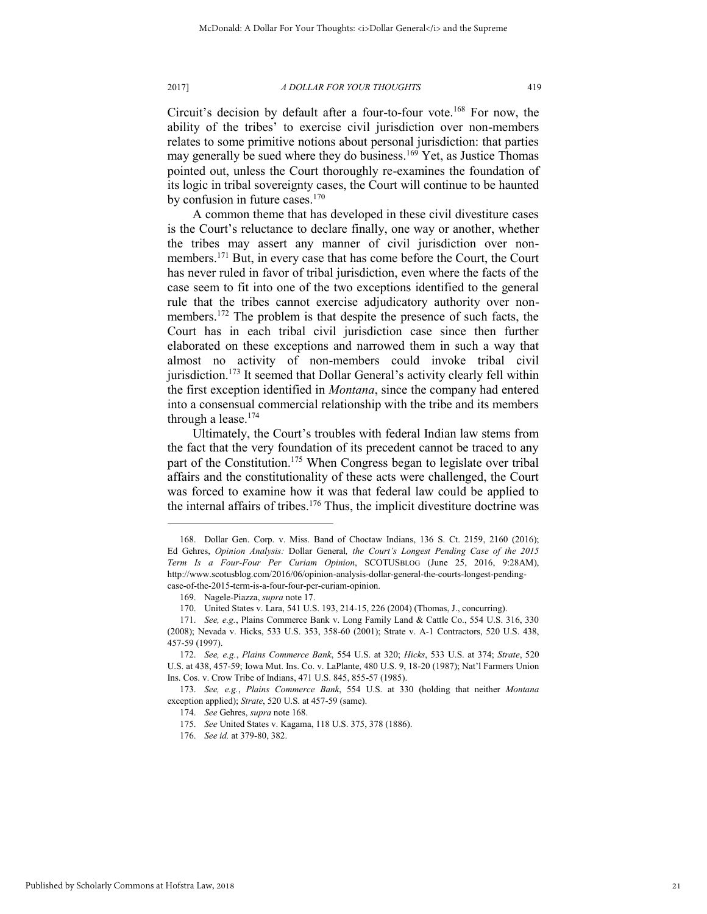<span id="page-21-0"></span>

Circuit's decision by default after a four-to-four vote.<sup>168</sup> For now, the ability of the tribes' to exercise civil jurisdiction over non-members relates to some primitive notions about personal jurisdiction: that parties may generally be sued where they do business.<sup>169</sup> Yet, as Justice Thomas pointed out, unless the Court thoroughly re-examines the foundation of its logic in tribal sovereignty cases, the Court will continue to be haunted by confusion in future cases.<sup>170</sup>

A common theme that has developed in these civil divestiture cases is the Court's reluctance to declare finally, one way or another, whether the tribes may assert any manner of civil jurisdiction over nonmembers.<sup>171</sup> But, in every case that has come before the Court, the Court has never ruled in favor of tribal jurisdiction, even where the facts of the case seem to fit into one of the two exceptions identified to the general rule that the tribes cannot exercise adjudicatory authority over nonmembers.<sup>172</sup> The problem is that despite the presence of such facts, the Court has in each tribal civil jurisdiction case since then further elaborated on these exceptions and narrowed them in such a way that almost no activity of non-members could invoke tribal civil jurisdiction.<sup>173</sup> It seemed that Dollar General's activity clearly fell within the first exception identified in *Montana*, since the company had entered into a consensual commercial relationship with the tribe and its members through a lease.<sup>174</sup>

Ultimately, the Court's troubles with federal Indian law stems from the fact that the very foundation of its precedent cannot be traced to any part of the Constitution.<sup>175</sup> When Congress began to legislate over tribal affairs and the constitutionality of these acts were challenged, the Court was forced to examine how it was that federal law could be applied to the internal affairs of tribes.<sup>176</sup> Thus, the implicit divestiture doctrine was

<sup>168.</sup> Dollar Gen. Corp. v. Miss. Band of Choctaw Indians, 136 S. Ct. 2159, 2160 (2016); Ed Gehres, *Opinion Analysis:* Dollar General*, the Court's Longest Pending Case of the 2015 Term Is a Four-Four Per Curiam Opinion*, SCOTUSBLOG (June 25, 2016, 9:28AM), http://www.scotusblog.com/2016/06/opinion-analysis-dollar-general-the-courts-longest-pendingcase-of-the-2015-term-is-a-four-four-per-curiam-opinion.

<sup>169.</sup> Nagele-Piazza, *supra* not[e 17.](#page-2-2)

<sup>170.</sup> United States v. Lara, 541 U.S. 193, 214-15, 226 (2004) (Thomas, J., concurring).

<sup>171.</sup> *See, e.g.*, Plains Commerce Bank v. Long Family Land & Cattle Co., 554 U.S. 316, 330 (2008); Nevada v. Hicks, 533 U.S. 353, 358-60 (2001); Strate v. A-1 Contractors, 520 U.S. 438, 457-59 (1997).

<sup>172.</sup> *See, e.g.*, *Plains Commerce Bank*, 554 U.S. at 320; *Hicks*, 533 U.S. at 374; *Strate*, 520 U.S. at 438, 457-59; Iowa Mut. Ins. Co. v. LaPlante, 480 U.S. 9, 18-20 (1987); Nat'l Farmers Union Ins. Cos. v. Crow Tribe of Indians, 471 U.S. 845, 855-57 (1985).

<sup>173.</sup> *See, e.g.*, *Plains Commerce Bank*, 554 U.S. at 330 (holding that neither *Montana* exception applied); *Strate*, 520 U.S. at 457-59 (same).

<sup>174.</sup> *See* Gehres, *supra* note [168.](#page-21-0) 

<sup>175.</sup> *See* United States v. Kagama, 118 U.S. 375, 378 (1886).

<sup>176.</sup> *See id.* at 379-80, 382.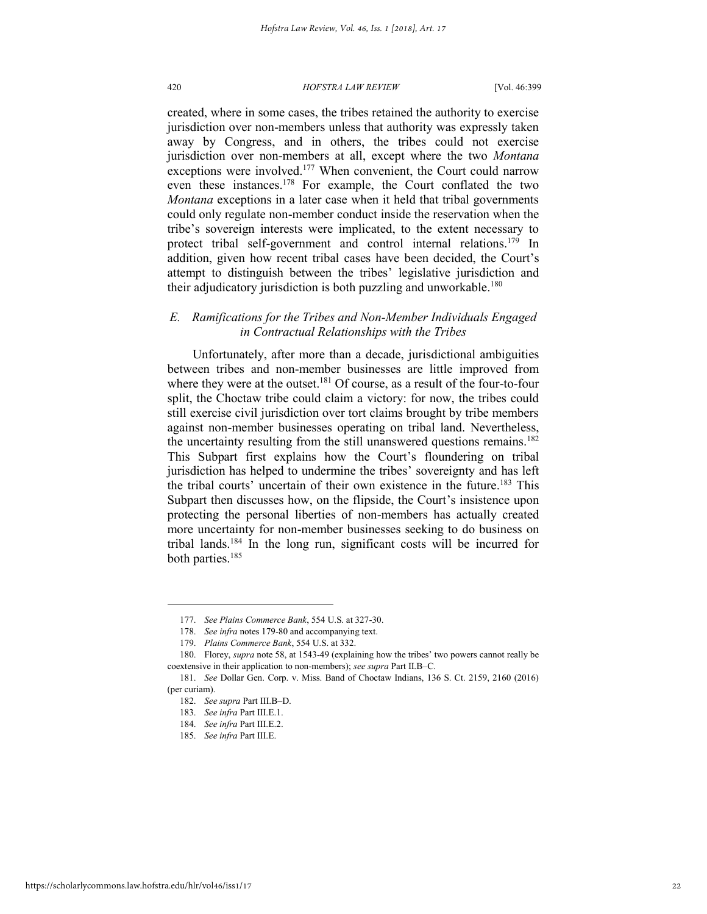created, where in some cases, the tribes retained the authority to exercise jurisdiction over non-members unless that authority was expressly taken away by Congress, and in others, the tribes could not exercise jurisdiction over non-members at all, except where the two *Montana* exceptions were involved.<sup>177</sup> When convenient, the Court could narrow even these instances.<sup>178</sup> For example, the Court conflated the two *Montana* exceptions in a later case when it held that tribal governments could only regulate non-member conduct inside the reservation when the tribe's sovereign interests were implicated, to the extent necessary to protect tribal self-government and control internal relations.<sup>179</sup> In addition, given how recent tribal cases have been decided, the Court's attempt to distinguish between the tribes' legislative jurisdiction and their adjudicatory jurisdiction is both puzzling and unworkable.<sup>180</sup>

## *E. Ramifications for the Tribes and Non-Member Individuals Engaged in Contractual Relationships with the Tribes*

Unfortunately, after more than a decade, jurisdictional ambiguities between tribes and non-member businesses are little improved from where they were at the outset.<sup>181</sup> Of course, as a result of the four-to-four split, the Choctaw tribe could claim a victory: for now, the tribes could still exercise civil jurisdiction over tort claims brought by tribe members against non-member businesses operating on tribal land. Nevertheless, the uncertainty resulting from the still unanswered questions remains.<sup>182</sup> This Subpart first explains how the Court's floundering on tribal jurisdiction has helped to undermine the tribes' sovereignty and has left the tribal courts' uncertain of their own existence in the future.<sup>183</sup> This Subpart then discusses how, on the flipside, the Court's insistence upon protecting the personal liberties of non-members has actually created more uncertainty for non-member businesses seeking to do business on tribal lands.<sup>184</sup> In the long run, significant costs will be incurred for both parties.<sup>185</sup>

<sup>177.</sup> *See Plains Commerce Bank*, 554 U.S. at 327-30.

<sup>178.</sup> *See infra* notes 179-80 and accompanying text.

<sup>179.</sup> *Plains Commerce Bank*, 554 U.S. at 332.

<sup>180.</sup> Florey, *supra* note 58, at 1543-49 (explaining how the tribes' two powers cannot really be coextensive in their application to non-members); *see supra* Part II.B–C.

<sup>181.</sup> *See* Dollar Gen. Corp. v. Miss. Band of Choctaw Indians, 136 S. Ct. 2159, 2160 (2016) (per curiam).

<sup>182.</sup> *See supra* Part III.B–D.

<sup>183.</sup> *See infra* Part III.E.1.

<sup>184.</sup> *See infra* Part III.E.2.

<sup>185.</sup> *See infra* Part III.E.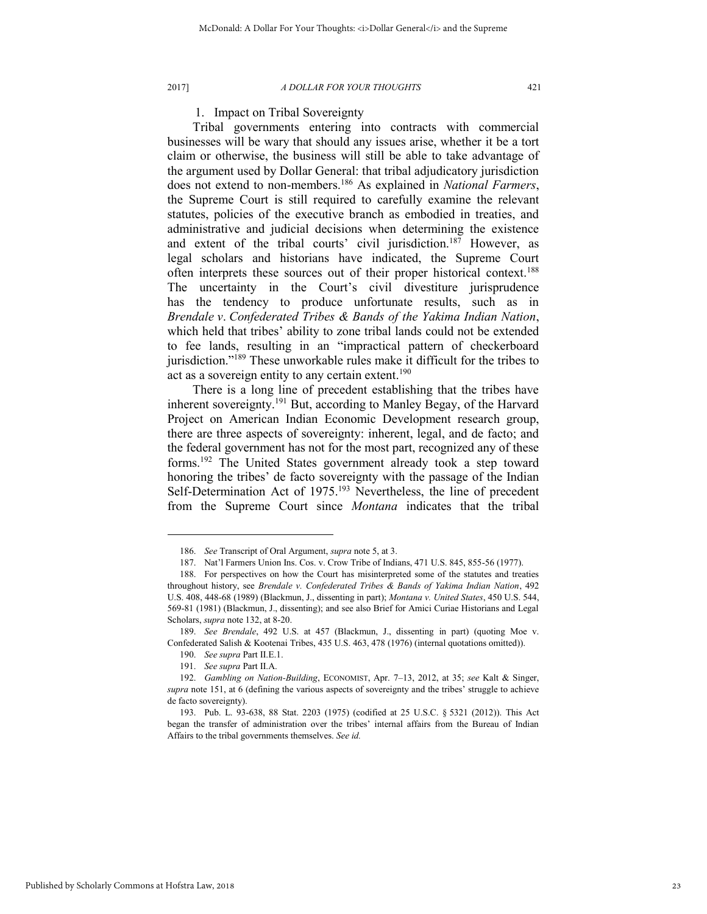## 1. Impact on Tribal Sovereignty

Tribal governments entering into contracts with commercial businesses will be wary that should any issues arise, whether it be a tort claim or otherwise, the business will still be able to take advantage of the argument used by Dollar General: that tribal adjudicatory jurisdiction does not extend to non-members.<sup>186</sup> As explained in *National Farmers*, the Supreme Court is still required to carefully examine the relevant statutes, policies of the executive branch as embodied in treaties, and administrative and judicial decisions when determining the existence and extent of the tribal courts' civil jurisdiction.<sup>187</sup> However, as legal scholars and historians have indicated, the Supreme Court often interprets these sources out of their proper historical context.<sup>188</sup> The uncertainty in the Court's civil divestiture jurisprudence has the tendency to produce unfortunate results, such as in *Brendale v*. *Confederated Tribes & Bands of the Yakima Indian Nation*, which held that tribes' ability to zone tribal lands could not be extended to fee lands, resulting in an "impractical pattern of checkerboard jurisdiction."<sup>189</sup> These unworkable rules make it difficult for the tribes to act as a sovereign entity to any certain extent.<sup>190</sup>

There is a long line of precedent establishing that the tribes have inherent sovereignty.<sup>191</sup> But, according to Manley Begay, of the Harvard Project on American Indian Economic Development research group, there are three aspects of sovereignty: inherent, legal, and de facto; and the federal government has not for the most part, recognized any of these forms.<sup>192</sup> The United States government already took a step toward honoring the tribes' de facto sovereignty with the passage of the Indian Self-Determination Act of 1975.<sup>193</sup> Nevertheless, the line of precedent from the Supreme Court since *Montana* indicates that the tribal

<sup>186.</sup> *See* Transcript of Oral Argument, *supra* not[e 5,](#page-1-2) at 3.

<sup>187.</sup> Nat'l Farmers Union Ins. Cos. v. Crow Tribe of Indians, 471 U.S. 845, 855-56 (1977).

<sup>188.</sup> For perspectives on how the Court has misinterpreted some of the statutes and treaties throughout history, see *Brendale v. Confederated Tribes & Bands of Yakima Indian Nation*, 492 U.S. 408, 448-68 (1989) (Blackmun, J., dissenting in part); *Montana v. United States*, 450 U.S. 544, 569-81 (1981) (Blackmun, J., dissenting); and see also Brief for Amici Curiae Historians and Legal Scholars, *supra* not[e 132,](#page-16-1) at 8-20.

<sup>189.</sup> *See Brendale*, 492 U.S. at 457 (Blackmun, J., dissenting in part) (quoting Moe v. Confederated Salish & Kootenai Tribes, 435 U.S. 463, 478 (1976) (internal quotations omitted)).

<sup>190.</sup> *See supra* Part II.E.1.

<sup>191.</sup> *See supra* Part II.A.

<sup>192.</sup> *Gambling on Nation-Building*, ECONOMIST, Apr. 7–13, 2012, at 35; *see* Kalt & Singer, *supra* note [151](#page-19-2), at 6 (defining the various aspects of sovereignty and the tribes' struggle to achieve de facto sovereignty).

<sup>193.</sup> Pub. L. 93-638, 88 Stat. 2203 (1975) (codified at 25 U.S.C. § 5321 (2012)). This Act began the transfer of administration over the tribes' internal affairs from the Bureau of Indian Affairs to the tribal governments themselves. *See id.*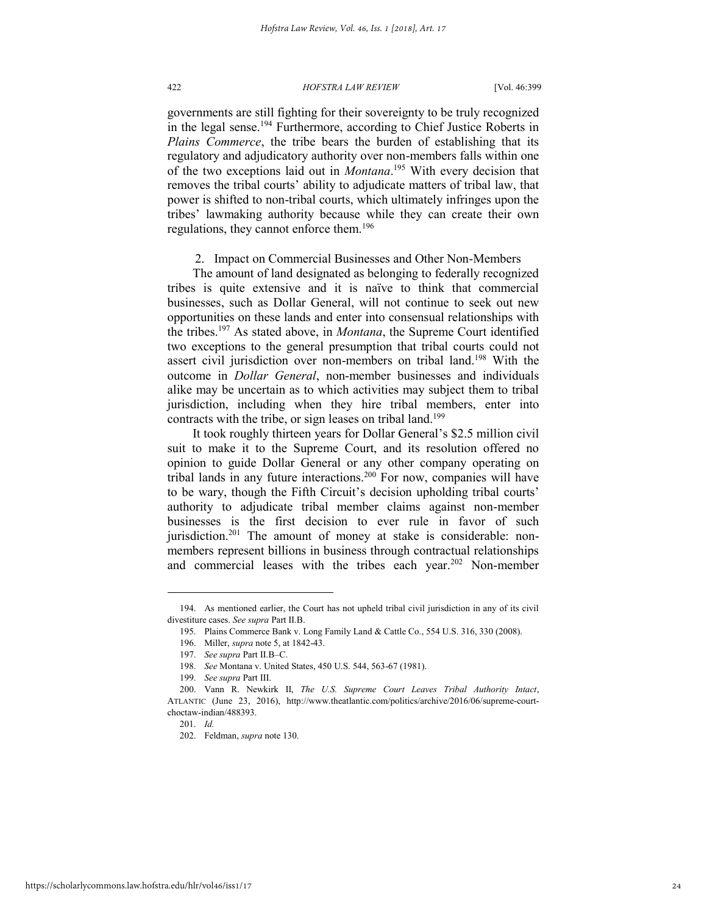governments are still fighting for their sovereignty to be truly recognized in the legal sense.<sup>194</sup> Furthermore, according to Chief Justice Roberts in *Plains Commerce*, the tribe bears the burden of establishing that its regulatory and adjudicatory authority over non-members falls within one of the two exceptions laid out in *Montana*. <sup>195</sup> With every decision that removes the tribal courts' ability to adjudicate matters of tribal law, that power is shifted to non-tribal courts, which ultimately infringes upon the tribes' lawmaking authority because while they can create their own regulations, they cannot enforce them.<sup>196</sup>

2. Impact on Commercial Businesses and Other Non-Members

The amount of land designated as belonging to federally recognized tribes is quite extensive and it is naïve to think that commercial businesses, such as Dollar General, will not continue to seek out new opportunities on these lands and enter into consensual relationships with the tribes.<sup>197</sup> As stated above, in *Montana*, the Supreme Court identified two exceptions to the general presumption that tribal courts could not assert civil jurisdiction over non-members on tribal land.<sup>198</sup> With the outcome in *Dollar General*, non-member businesses and individuals alike may be uncertain as to which activities may subject them to tribal jurisdiction, including when they hire tribal members, enter into contracts with the tribe, or sign leases on tribal land.<sup>199</sup>

It took roughly thirteen years for Dollar General's \$2.5 million civil suit to make it to the Supreme Court, and its resolution offered no opinion to guide Dollar General or any other company operating on tribal lands in any future interactions.<sup>200</sup> For now, companies will have to be wary, though the Fifth Circuit's decision upholding tribal courts' authority to adjudicate tribal member claims against non-member businesses is the first decision to ever rule in favor of such jurisdiction.<sup>201</sup> The amount of money at stake is considerable: nonmembers represent billions in business through contractual relationships and commercial leases with the tribes each year.<sup>202</sup> Non-member

<sup>194.</sup> As mentioned earlier, the Court has not upheld tribal civil jurisdiction in any of its civil divestiture cases. *See supra* Part II.B.

<sup>195.</sup> Plains Commerce Bank v. Long Family Land & Cattle Co., 554 U.S. 316, 330 (2008).

<sup>196.</sup> Miller, *supra* note 5, at 1842-43.

<sup>197.</sup> *See supra* Part II.B–C.

<sup>198.</sup> *See* Montana v. United States, 450 U.S. 544, 563-67 (1981).

<sup>199.</sup> *See supra* Part III.

<sup>200.</sup> Vann R. Newkirk II, *The U.S. Supreme Court Leaves Tribal Authority Intact*, ATLANTIC (June 23, 2016), http://www.theatlantic.com/politics/archive/2016/06/supreme-courtchoctaw-indian/488393.

<sup>201.</sup> *Id.*

<sup>202.</sup> Feldman, *supra* not[e 130.](#page-16-0)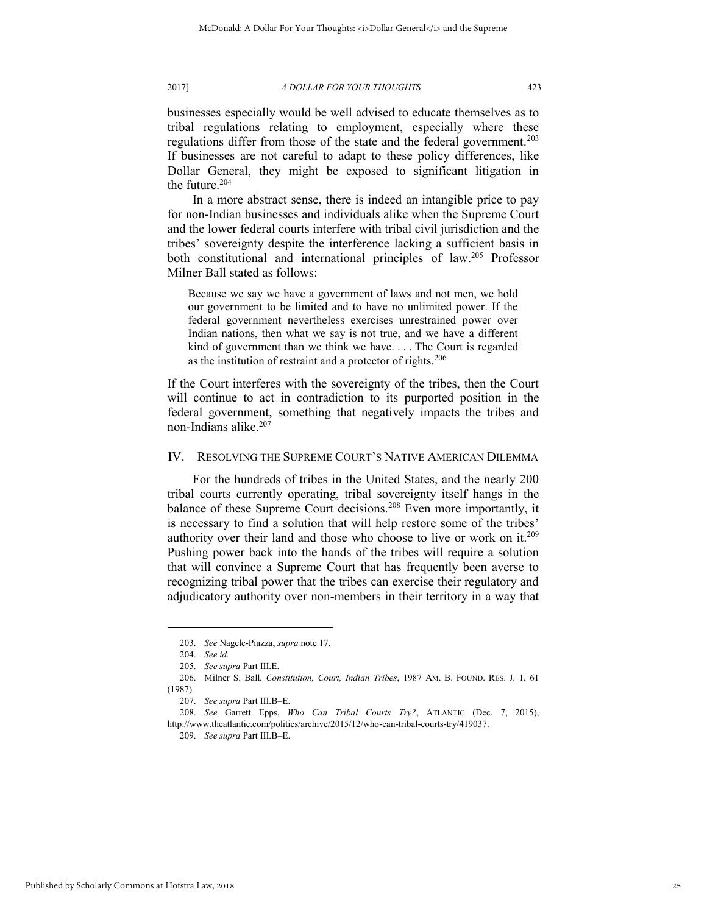businesses especially would be well advised to educate themselves as to tribal regulations relating to employment, especially where these regulations differ from those of the state and the federal government.<sup>203</sup> If businesses are not careful to adapt to these policy differences, like Dollar General, they might be exposed to significant litigation in the future.<sup>204</sup>

In a more abstract sense, there is indeed an intangible price to pay for non-Indian businesses and individuals alike when the Supreme Court and the lower federal courts interfere with tribal civil jurisdiction and the tribes' sovereignty despite the interference lacking a sufficient basis in both constitutional and international principles of law.<sup>205</sup> Professor Milner Ball stated as follows:

Because we say we have a government of laws and not men, we hold our government to be limited and to have no unlimited power. If the federal government nevertheless exercises unrestrained power over Indian nations, then what we say is not true, and we have a different kind of government than we think we have. . . . The Court is regarded as the institution of restraint and a protector of rights.<sup>206</sup>

If the Court interferes with the sovereignty of the tribes, then the Court will continue to act in contradiction to its purported position in the federal government, something that negatively impacts the tribes and non-Indians alike.<sup>207</sup>

## IV. RESOLVING THE SUPREME COURT'S NATIVE AMERICAN DILEMMA

For the hundreds of tribes in the United States, and the nearly 200 tribal courts currently operating, tribal sovereignty itself hangs in the balance of these Supreme Court decisions.<sup>208</sup> Even more importantly, it is necessary to find a solution that will help restore some of the tribes' authority over their land and those who choose to live or work on it.<sup>209</sup> Pushing power back into the hands of the tribes will require a solution that will convince a Supreme Court that has frequently been averse to recognizing tribal power that the tribes can exercise their regulatory and adjudicatory authority over non-members in their territory in a way that

<sup>203.</sup> *See* Nagele-Piazza, *supra* not[e 17.](#page-2-2) 

<sup>204.</sup> *See id.*

<sup>205.</sup> *See supra* Part III.E.

<sup>206.</sup> Milner S. Ball, *Constitution, Court, Indian Tribes*, 1987 AM. B. FOUND. RES. J. 1, 61 (1987).

<sup>207.</sup> *See supra* Part III.B–E.

<sup>208.</sup> *See* Garrett Epps, *Who Can Tribal Courts Try?*, ATLANTIC (Dec. 7, 2015), http://www.theatlantic.com/politics/archive/2015/12/who-can-tribal-courts-try/419037.

<sup>209.</sup> *See supra* Part III.B–E.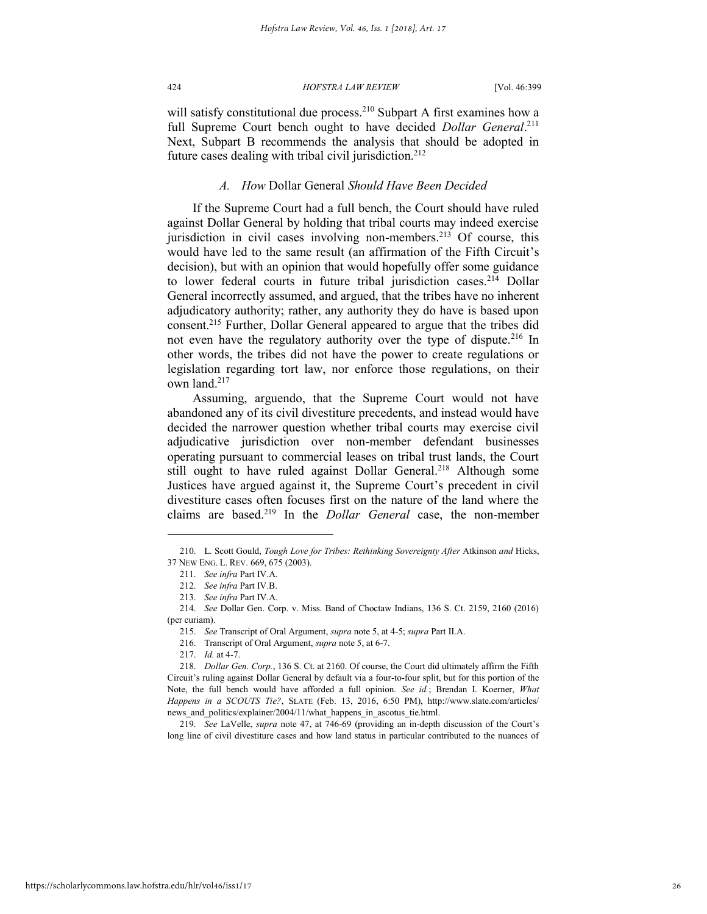will satisfy constitutional due process.<sup>210</sup> Subpart A first examines how a full Supreme Court bench ought to have decided *Dollar General*.<sup>211</sup> Next, Subpart B recommends the analysis that should be adopted in future cases dealing with tribal civil jurisdiction.<sup>212</sup>

## *A. How* Dollar General *Should Have Been Decided*

If the Supreme Court had a full bench, the Court should have ruled against Dollar General by holding that tribal courts may indeed exercise jurisdiction in civil cases involving non-members.<sup>213</sup> Of course, this would have led to the same result (an affirmation of the Fifth Circuit's decision), but with an opinion that would hopefully offer some guidance to lower federal courts in future tribal jurisdiction cases.<sup>214</sup> Dollar General incorrectly assumed, and argued, that the tribes have no inherent adjudicatory authority; rather, any authority they do have is based upon consent.<sup>215</sup> Further, Dollar General appeared to argue that the tribes did not even have the regulatory authority over the type of dispute.<sup>216</sup> In other words, the tribes did not have the power to create regulations or legislation regarding tort law, nor enforce those regulations, on their own land.<sup>217</sup>

Assuming, arguendo, that the Supreme Court would not have abandoned any of its civil divestiture precedents, and instead would have decided the narrower question whether tribal courts may exercise civil adjudicative jurisdiction over non-member defendant businesses operating pursuant to commercial leases on tribal trust lands, the Court still ought to have ruled against Dollar General.<sup>218</sup> Although some Justices have argued against it, the Supreme Court's precedent in civil divestiture cases often focuses first on the nature of the land where the claims are based.<sup>219</sup> In the *Dollar General* case, the non-member

l

219. *See* LaVelle, *supra* note [47,](#page-5-0) at 746-69 (providing an in-depth discussion of the Court's long line of civil divestiture cases and how land status in particular contributed to the nuances of

<sup>210.</sup> L. Scott Gould, *Tough Love for Tribes: Rethinking Sovereignty After* Atkinson *and* Hicks, 37 NEW ENG. L. REV. 669, 675 (2003).

<sup>211.</sup> *See infra* Part IV.A.

<sup>212.</sup> *See infra* Part IV.B.

<sup>213.</sup> *See infra* Part IV.A.

<sup>214.</sup> *See* Dollar Gen. Corp. v. Miss. Band of Choctaw Indians, 136 S. Ct. 2159, 2160 (2016) (per curiam).

<sup>215.</sup> *See* Transcript of Oral Argument, *supra* not[e 5,](#page-1-2) at 4-5; *supra* Part II.A.

<sup>216.</sup> Transcript of Oral Argument, *supra* not[e 5,](#page-1-2) at 6-7.

<sup>217.</sup> *Id.* at 4-7.

<sup>218.</sup> *Dollar Gen. Corp.*, 136 S. Ct. at 2160. Of course, the Court did ultimately affirm the Fifth Circuit's ruling against Dollar General by default via a four-to-four split, but for this portion of the Note, the full bench would have afforded a full opinion. *See id.*; Brendan I. Koerner, *What Happens in a SCOUTS Tie?*, SLATE (Feb. 13, 2016, 6:50 PM), http://www.slate.com/articles/ news and politics/explainer/2004/11/what happens in ascotus tie.html.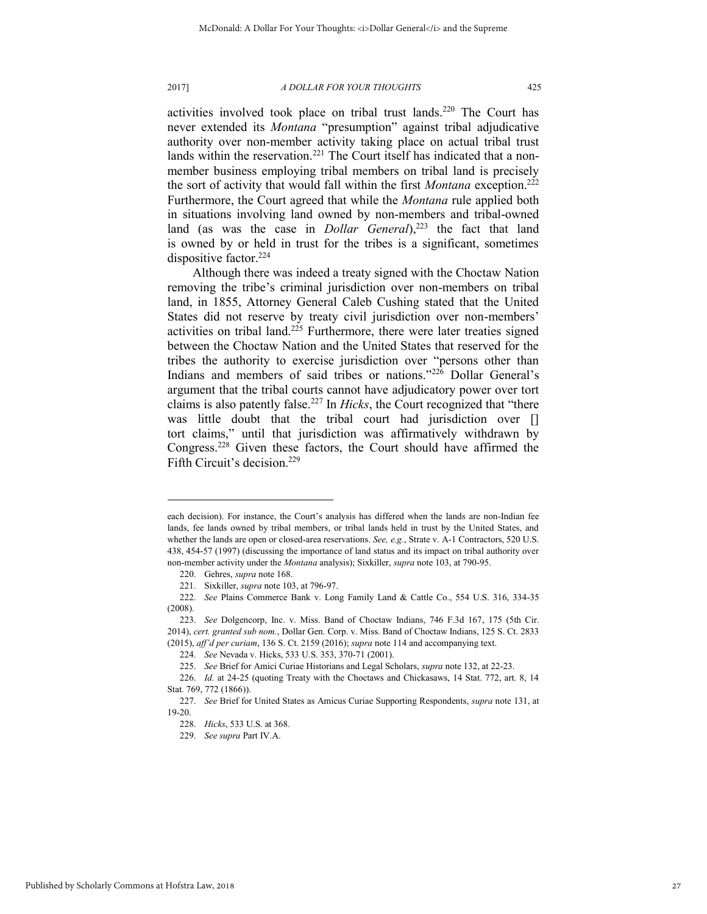activities involved took place on tribal trust lands.<sup>220</sup> The Court has never extended its *Montana* "presumption" against tribal adjudicative authority over non-member activity taking place on actual tribal trust lands within the reservation.<sup>221</sup> The Court itself has indicated that a nonmember business employing tribal members on tribal land is precisely the sort of activity that would fall within the first *Montana* exception.<sup>222</sup> Furthermore, the Court agreed that while the *Montana* rule applied both in situations involving land owned by non-members and tribal-owned land (as was the case in *Dollar General*),<sup>223</sup> the fact that land is owned by or held in trust for the tribes is a significant, sometimes dispositive factor.<sup>224</sup>

Although there was indeed a treaty signed with the Choctaw Nation removing the tribe's criminal jurisdiction over non-members on tribal land, in 1855, Attorney General Caleb Cushing stated that the United States did not reserve by treaty civil jurisdiction over non-members' activities on tribal land.<sup>225</sup> Furthermore, there were later treaties signed between the Choctaw Nation and the United States that reserved for the tribes the authority to exercise jurisdiction over "persons other than Indians and members of said tribes or nations."<sup>226</sup> Dollar General's argument that the tribal courts cannot have adjudicatory power over tort claims is also patently false.<sup>227</sup> In *Hicks*, the Court recognized that "there was little doubt that the tribal court had jurisdiction over [] tort claims," until that jurisdiction was affirmatively withdrawn by Congress.<sup>228</sup> Given these factors, the Court should have affirmed the Fifth Circuit's decision.<sup>229</sup>

each decision). For instance, the Court's analysis has differed when the lands are non-Indian fee lands, fee lands owned by tribal members, or tribal lands held in trust by the United States, and whether the lands are open or closed-area reservations. *See, e.g.*, Strate v. A-1 Contractors, 520 U.S. 438, 454-57 (1997) (discussing the importance of land status and its impact on tribal authority over non-member activity under the *Montana* analysis); Sixkiller, *supra* not[e 103,](#page-12-0) at 790-95.

<sup>220.</sup> Gehres, *supra* not[e 168.](#page-21-0) 

<sup>221.</sup> Sixkiller, *supra* not[e 103,](#page-12-0) at 796-97.

<sup>222.</sup> *See* Plains Commerce Bank v. Long Family Land & Cattle Co., 554 U.S. 316, 334-35 (2008).

<sup>223.</sup> *See* Dolgencorp, Inc. v. Miss. Band of Choctaw Indians, 746 F.3d 167, 175 (5th Cir. 2014), *cert. granted sub nom.*, Dollar Gen. Corp. v. Miss. Band of Choctaw Indians, 125 S. Ct. 2833 (2015), *aff'd per curiam*, 136 S. Ct. 2159 (2016); *supra* not[e 114 a](#page-14-0)nd accompanying text.

<sup>224.</sup> *See* Nevada v. Hicks, 533 U.S. 353, 370-71 (2001).

<sup>225.</sup> *See* Brief for Amici Curiae Historians and Legal Scholars, *supra* not[e 132,](#page-16-1) at 22-23.

<sup>226.</sup> *Id.* at 24-25 (quoting Treaty with the Choctaws and Chickasaws, 14 Stat. 772, art. 8, 14 Stat. 769, 772 (1866)).

<sup>227.</sup> *See* Brief for United States as Amicus Curiae Supporting Respondents, *supra* note 131, at 19-20.

<sup>228.</sup> *Hicks*, 533 U.S. at 368.

<sup>229.</sup> *See supra* Part IV.A.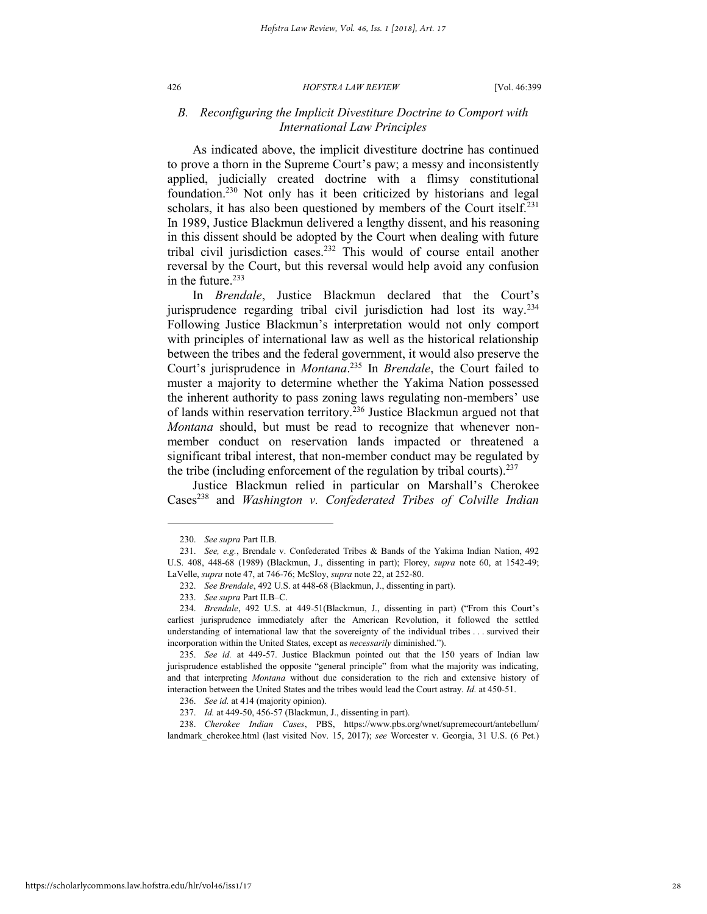## *B. Reconfiguring the Implicit Divestiture Doctrine to Comport with International Law Principles*

As indicated above, the implicit divestiture doctrine has continued to prove a thorn in the Supreme Court's paw; a messy and inconsistently applied, judicially created doctrine with a flimsy constitutional foundation.<sup>230</sup> Not only has it been criticized by historians and legal scholars, it has also been questioned by members of the Court itself.<sup>231</sup> In 1989, Justice Blackmun delivered a lengthy dissent, and his reasoning in this dissent should be adopted by the Court when dealing with future tribal civil jurisdiction cases.<sup>232</sup> This would of course entail another reversal by the Court, but this reversal would help avoid any confusion in the future. $233$ 

In *Brendale*, Justice Blackmun declared that the Court's jurisprudence regarding tribal civil jurisdiction had lost its way.<sup>234</sup> Following Justice Blackmun's interpretation would not only comport with principles of international law as well as the historical relationship between the tribes and the federal government, it would also preserve the Court's jurisprudence in *Montana*. <sup>235</sup> In *Brendale*, the Court failed to muster a majority to determine whether the Yakima Nation possessed the inherent authority to pass zoning laws regulating non-members' use of lands within reservation territory.<sup>236</sup> Justice Blackmun argued not that *Montana* should, but must be read to recognize that whenever nonmember conduct on reservation lands impacted or threatened a significant tribal interest, that non-member conduct may be regulated by the tribe (including enforcement of the regulation by tribal courts). $237$ 

Justice Blackmun relied in particular on Marshall's Cherokee Cases<sup>238</sup> and *Washington v. Confederated Tribes of Colville Indian* 

l

238. *Cherokee Indian Cases*, PBS, https://www.pbs.org/wnet/supremecourt/antebellum/ landmark\_cherokee.html (last visited Nov. 15, 2017); *see* Worcester v. Georgia, 31 U.S. (6 Pet.)

<sup>230.</sup> *See supra* Part II.B.

<sup>231.</sup> *See, e.g.*, Brendale v. Confederated Tribes & Bands of the Yakima Indian Nation, 492 U.S. 408, 448-68 (1989) (Blackmun, J., dissenting in part); Florey, *supra* note [60,](#page-7-1) at 1542-49; LaVelle, *supra* note [47,](#page-5-0) at 746-76; McSloy, *supra* note [22,](#page-3-0) at 252-80.

<sup>232.</sup> *See Brendale*, 492 U.S. at 448-68 (Blackmun, J., dissenting in part).

<sup>233.</sup> *See supra* Part II.B–C.

<sup>234.</sup> *Brendale*, 492 U.S. at 449-51(Blackmun, J., dissenting in part) ("From this Court's earliest jurisprudence immediately after the American Revolution, it followed the settled understanding of international law that the sovereignty of the individual tribes . . . survived their incorporation within the United States, except as *necessarily* diminished.").

<sup>235.</sup> *See id.* at 449-57. Justice Blackmun pointed out that the 150 years of Indian law jurisprudence established the opposite "general principle" from what the majority was indicating, and that interpreting *Montana* without due consideration to the rich and extensive history of interaction between the United States and the tribes would lead the Court astray. *Id.* at 450-51.

<sup>236.</sup> *See id.* at 414 (majority opinion).

<sup>237.</sup> *Id.* at 449-50, 456-57 (Blackmun, J., dissenting in part).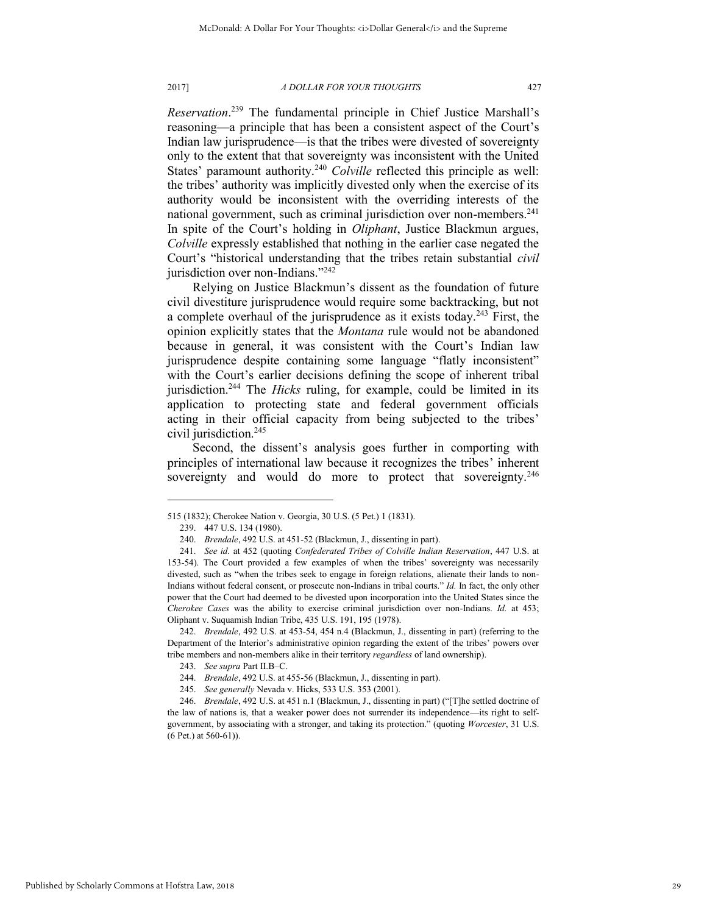*Reservation*. <sup>239</sup> The fundamental principle in Chief Justice Marshall's reasoning—a principle that has been a consistent aspect of the Court's Indian law jurisprudence—is that the tribes were divested of sovereignty only to the extent that that sovereignty was inconsistent with the United States' paramount authority.<sup>240</sup> *Colville* reflected this principle as well: the tribes' authority was implicitly divested only when the exercise of its authority would be inconsistent with the overriding interests of the national government, such as criminal jurisdiction over non-members.<sup>241</sup> In spite of the Court's holding in *Oliphant*, Justice Blackmun argues, *Colville* expressly established that nothing in the earlier case negated the Court's "historical understanding that the tribes retain substantial *civil* jurisdiction over non-Indians."<sup>242</sup>

Relying on Justice Blackmun's dissent as the foundation of future civil divestiture jurisprudence would require some backtracking, but not a complete overhaul of the jurisprudence as it exists today.<sup>243</sup> First, the opinion explicitly states that the *Montana* rule would not be abandoned because in general, it was consistent with the Court's Indian law jurisprudence despite containing some language "flatly inconsistent" with the Court's earlier decisions defining the scope of inherent tribal jurisdiction.<sup>244</sup> The *Hicks* ruling, for example, could be limited in its application to protecting state and federal government officials acting in their official capacity from being subjected to the tribes' civil jurisdiction.<sup>245</sup>

Second, the dissent's analysis goes further in comporting with principles of international law because it recognizes the tribes' inherent sovereignty and would do more to protect that sovereignty.<sup>246</sup>

<sup>515 (1832);</sup> Cherokee Nation v. Georgia, 30 U.S. (5 Pet.) 1 (1831).

<sup>239. 447</sup> U.S. 134 (1980).

<sup>240.</sup> *Brendale*, 492 U.S. at 451-52 (Blackmun, J., dissenting in part).

<sup>241.</sup> *See id.* at 452 (quoting *Confederated Tribes of Colville Indian Reservation*, 447 U.S. at 153-54). The Court provided a few examples of when the tribes' sovereignty was necessarily divested, such as "when the tribes seek to engage in foreign relations, alienate their lands to non-Indians without federal consent, or prosecute non-Indians in tribal courts." *Id.* In fact, the only other power that the Court had deemed to be divested upon incorporation into the United States since the *Cherokee Cases* was the ability to exercise criminal jurisdiction over non-Indians. *Id.* at 453; Oliphant v. Suquamish Indian Tribe, 435 U.S. 191, 195 (1978).

<sup>242.</sup> *Brendale*, 492 U.S. at 453-54, 454 n.4 (Blackmun, J., dissenting in part) (referring to the Department of the Interior's administrative opinion regarding the extent of the tribes' powers over tribe members and non-members alike in their territory *regardless* of land ownership).

<sup>243.</sup> *See supra* Part II.B–C.

<sup>244.</sup> *Brendale*, 492 U.S. at 455-56 (Blackmun, J., dissenting in part).

<sup>245.</sup> *See generally* Nevada v. Hicks, 533 U.S. 353 (2001).

<sup>246.</sup> *Brendale*, 492 U.S. at 451 n.1 (Blackmun, J., dissenting in part) ("[T]he settled doctrine of the law of nations is, that a weaker power does not surrender its independence—its right to selfgovernment, by associating with a stronger, and taking its protection." (quoting *Worcester*, 31 U.S. (6 Pet.) at 560-61)).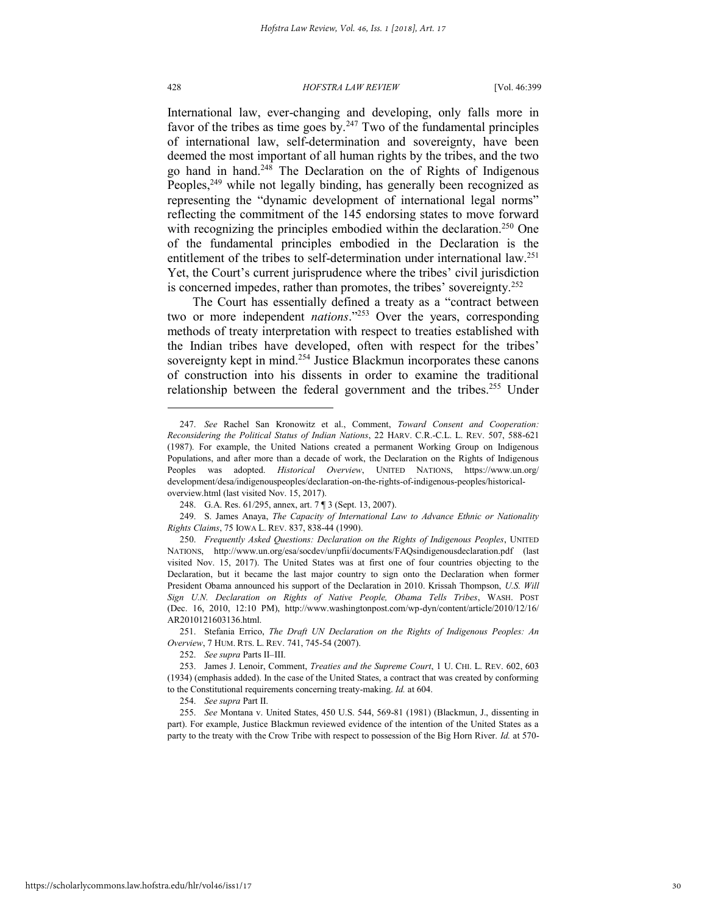#### 428 *HOFSTRA LAW REVIEW* [Vol. 46:399

International law, ever-changing and developing, only falls more in favor of the tribes as time goes by. $247$  Two of the fundamental principles of international law, self-determination and sovereignty, have been deemed the most important of all human rights by the tribes, and the two go hand in hand.<sup>248</sup> The Declaration on the of Rights of Indigenous Peoples,<sup>249</sup> while not legally binding, has generally been recognized as representing the "dynamic development of international legal norms" reflecting the commitment of the 145 endorsing states to move forward with recognizing the principles embodied within the declaration.<sup>250</sup> One of the fundamental principles embodied in the Declaration is the entitlement of the tribes to self-determination under international law.<sup>251</sup> Yet, the Court's current jurisprudence where the tribes' civil jurisdiction is concerned impedes, rather than promotes, the tribes' sovereignty.<sup>252</sup>

The Court has essentially defined a treaty as a "contract between two or more independent *nations*."<sup>253</sup> Over the years, corresponding methods of treaty interpretation with respect to treaties established with the Indian tribes have developed, often with respect for the tribes' sovereignty kept in mind.<sup>254</sup> Justice Blackmun incorporates these canons of construction into his dissents in order to examine the traditional relationship between the federal government and the tribes.<sup>255</sup> Under

251. Stefania Errico, *The Draft UN Declaration on the Rights of Indigenous Peoples: An Overview*, 7 HUM. RTS. L. REV. 741, 745-54 (2007).

<sup>247.</sup> *See* Rachel San Kronowitz et al., Comment, *Toward Consent and Cooperation: Reconsidering the Political Status of Indian Nations*, 22 HARV. C.R.-C.L. L. REV. 507, 588-621 (1987). For example, the United Nations created a permanent Working Group on Indigenous Populations, and after more than a decade of work, the Declaration on the Rights of Indigenous Peoples was adopted. *Historical Overview*, UNITED NATIONS, https://www.un.org/ development/desa/indigenouspeoples/declaration-on-the-rights-of-indigenous-peoples/historicaloverview.html (last visited Nov. 15, 2017).

<sup>248.</sup> G.A. Res. 61/295, annex, art. 7 ¶ 3 (Sept. 13, 2007).

<sup>249.</sup> S. James Anaya, *The Capacity of International Law to Advance Ethnic or Nationality Rights Claims*, 75 IOWA L. REV. 837, 838-44 (1990).

<sup>250.</sup> *Frequently Asked Questions: Declaration on the Rights of Indigenous Peoples*, UNITED NATIONS, http://www.un.org/esa/socdev/unpfii/documents/FAQsindigenousdeclaration.pdf (last visited Nov. 15, 2017). The United States was at first one of four countries objecting to the Declaration, but it became the last major country to sign onto the Declaration when former President Obama announced his support of the Declaration in 2010. Krissah Thompson, *U.S. Will Sign U.N. Declaration on Rights of Native People, Obama Tells Tribes*, WASH. POST (Dec. 16, 2010, 12:10 PM), http://www.washingtonpost.com/wp-dyn/content/article/2010/12/16/ AR2010121603136.html.

<sup>252.</sup> *See supra* Parts II–III.

<sup>253.</sup> James J. Lenoir, Comment, *Treaties and the Supreme Court*, 1 U. CHI. L. REV. 602, 603 (1934) (emphasis added). In the case of the United States, a contract that was created by conforming to the Constitutional requirements concerning treaty-making. *Id.* at 604.

<sup>254.</sup> *See supra* Part II.

<sup>255.</sup> *See* Montana v. United States, 450 U.S. 544, 569-81 (1981) (Blackmun, J., dissenting in part). For example, Justice Blackmun reviewed evidence of the intention of the United States as a party to the treaty with the Crow Tribe with respect to possession of the Big Horn River. *Id.* at 570-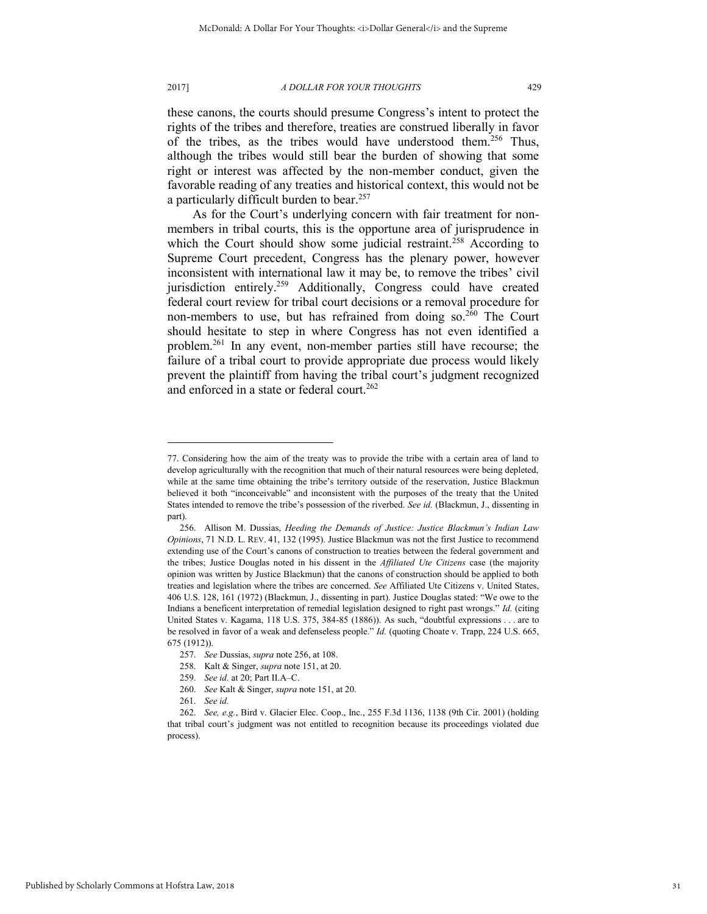2017] *A DOLLAR FOR YOUR THOUGHTS* 429

<span id="page-31-0"></span>these canons, the courts should presume Congress's intent to protect the rights of the tribes and therefore, treaties are construed liberally in favor of the tribes, as the tribes would have understood them.<sup>256</sup> Thus, although the tribes would still bear the burden of showing that some right or interest was affected by the non-member conduct, given the favorable reading of any treaties and historical context, this would not be a particularly difficult burden to bear.<sup>257</sup>

As for the Court's underlying concern with fair treatment for nonmembers in tribal courts, this is the opportune area of jurisprudence in which the Court should show some judicial restraint.<sup>258</sup> According to Supreme Court precedent, Congress has the plenary power, however inconsistent with international law it may be, to remove the tribes' civil jurisdiction entirely.<sup>259</sup> Additionally, Congress could have created federal court review for tribal court decisions or a removal procedure for non-members to use, but has refrained from doing so. $260$  The Court should hesitate to step in where Congress has not even identified a problem.<sup>261</sup> In any event, non-member parties still have recourse; the failure of a tribal court to provide appropriate due process would likely prevent the plaintiff from having the tribal court's judgment recognized and enforced in a state or federal court.<sup>262</sup>

<sup>77.</sup> Considering how the aim of the treaty was to provide the tribe with a certain area of land to develop agriculturally with the recognition that much of their natural resources were being depleted, while at the same time obtaining the tribe's territory outside of the reservation, Justice Blackmun believed it both "inconceivable" and inconsistent with the purposes of the treaty that the United States intended to remove the tribe's possession of the riverbed. *See id.* (Blackmun, J., dissenting in part)*.*

<sup>256.</sup> Allison M. Dussias, *Heeding the Demands of Justice: Justice Blackmun's Indian Law Opinions*, 71 N.D. L. REV. 41, 132 (1995). Justice Blackmun was not the first Justice to recommend extending use of the Court's canons of construction to treaties between the federal government and the tribes; Justice Douglas noted in his dissent in the *Affiliated Ute Citizens* case (the majority opinion was written by Justice Blackmun) that the canons of construction should be applied to both treaties and legislation where the tribes are concerned. *See* Affiliated Ute Citizens v. United States, 406 U.S. 128, 161 (1972) (Blackmun, J., dissenting in part). Justice Douglas stated: "We owe to the Indians a beneficent interpretation of remedial legislation designed to right past wrongs." *Id.* (citing United States v. Kagama, 118 U.S. 375, 384-85 (1886)). As such, "doubtful expressions . . . are to be resolved in favor of a weak and defenseless people." *Id.* (quoting Choate v. Trapp, 224 U.S. 665, 675 (1912)).

<sup>257.</sup> *See* Dussias, *supra* not[e 256,](#page-31-0) at 108.

<sup>258.</sup> Kalt & Singer, *supra* not[e 151,](#page-19-2) at 20.

<sup>259.</sup> *See id.* at 20; Part II.A–C.

<sup>260.</sup> *See* Kalt & Singer, *supra* not[e 151,](#page-19-2) at 20.

<sup>261.</sup> *See id.*

<sup>262.</sup> *See, e.g.*, Bird v. Glacier Elec. Coop., Inc., 255 F.3d 1136, 1138 (9th Cir. 2001) (holding that tribal court's judgment was not entitled to recognition because its proceedings violated due process).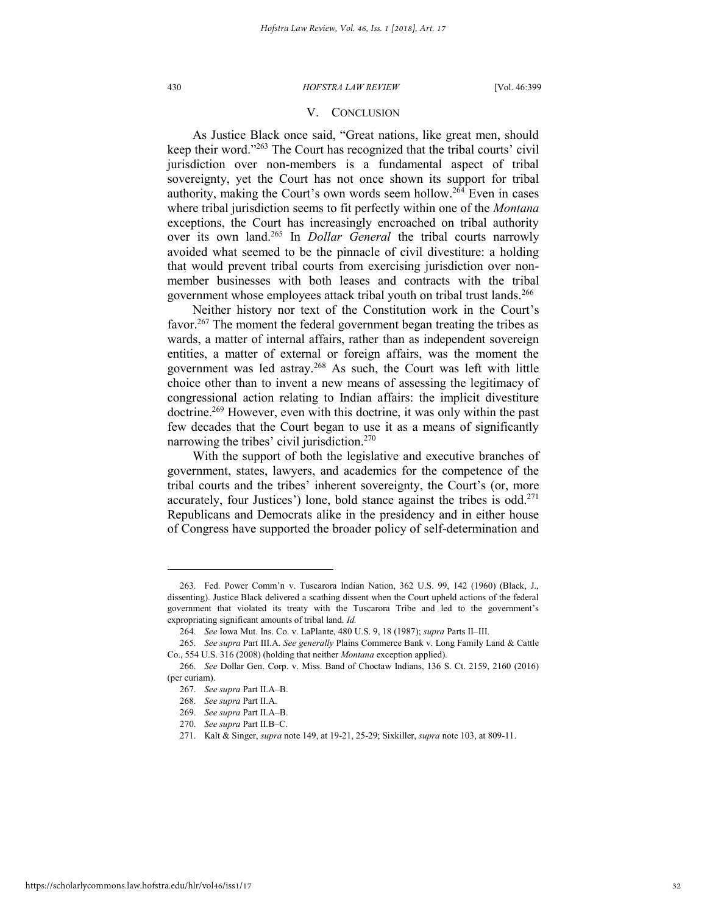## V. CONCLUSION

As Justice Black once said, "Great nations, like great men, should keep their word."<sup>263</sup> The Court has recognized that the tribal courts' civil jurisdiction over non-members is a fundamental aspect of tribal sovereignty, yet the Court has not once shown its support for tribal authority, making the Court's own words seem hollow.<sup>264</sup> Even in cases where tribal jurisdiction seems to fit perfectly within one of the *Montana* exceptions, the Court has increasingly encroached on tribal authority over its own land.<sup>265</sup> In *Dollar General* the tribal courts narrowly avoided what seemed to be the pinnacle of civil divestiture: a holding that would prevent tribal courts from exercising jurisdiction over nonmember businesses with both leases and contracts with the tribal government whose employees attack tribal youth on tribal trust lands.<sup>266</sup>

Neither history nor text of the Constitution work in the Court's favor.<sup>267</sup> The moment the federal government began treating the tribes as wards, a matter of internal affairs, rather than as independent sovereign entities, a matter of external or foreign affairs, was the moment the government was led astray.<sup>268</sup> As such, the Court was left with little choice other than to invent a new means of assessing the legitimacy of congressional action relating to Indian affairs: the implicit divestiture doctrine.<sup>269</sup> However, even with this doctrine, it was only within the past few decades that the Court began to use it as a means of significantly narrowing the tribes' civil jurisdiction.<sup>270</sup>

With the support of both the legislative and executive branches of government, states, lawyers, and academics for the competence of the tribal courts and the tribes' inherent sovereignty, the Court's (or, more accurately, four Justices') lone, bold stance against the tribes is odd.<sup>271</sup> Republicans and Democrats alike in the presidency and in either house of Congress have supported the broader policy of self-determination and

<sup>263.</sup> Fed. Power Comm'n v. Tuscarora Indian Nation, 362 U.S. 99, 142 (1960) (Black, J., dissenting). Justice Black delivered a scathing dissent when the Court upheld actions of the federal government that violated its treaty with the Tuscarora Tribe and led to the government's expropriating significant amounts of tribal land. *Id.*

<sup>264.</sup> *See* Iowa Mut. Ins. Co. v. LaPlante, 480 U.S. 9, 18 (1987); *supra* Parts II–III.

<sup>265.</sup> *See supra* Part III.A. *See generally* Plains Commerce Bank v. Long Family Land & Cattle Co., 554 U.S. 316 (2008) (holding that neither *Montana* exception applied).

<sup>266.</sup> *See* Dollar Gen. Corp. v. Miss. Band of Choctaw Indians, 136 S. Ct. 2159, 2160 (2016) (per curiam).

<sup>267.</sup> *See supra* Part II.A–B.

<sup>268.</sup> *See supra* Part II.A.

<sup>269.</sup> *See supra* Part II.A–B.

<sup>270.</sup> *See supra* Part II.B–C.

<sup>271.</sup> Kalt & Singer, *supra* note 149, at 19-21, 25-29; Sixkiller, *supra* note [103,](#page-12-0) at 809-11.